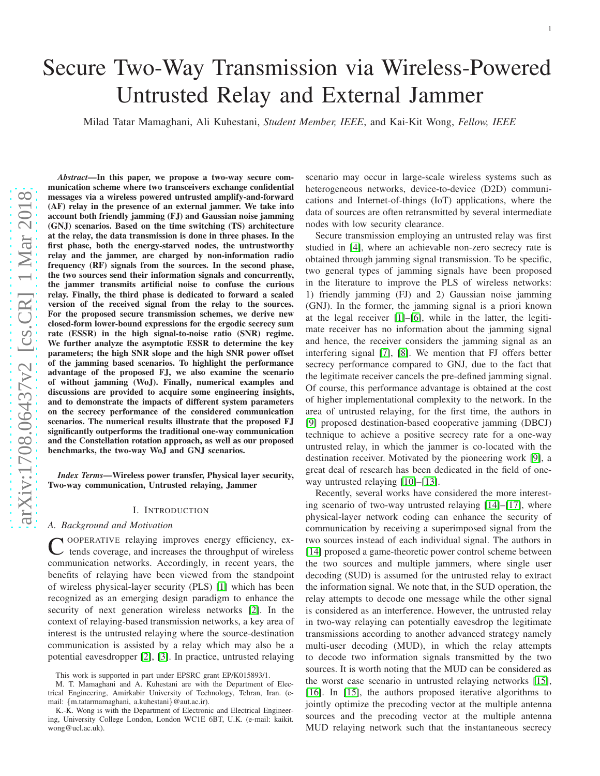# Secure Two-Way Transmission via Wireless-Powered Untrusted Relay and External Jammer

Milad Tatar Mamaghani, Ali Kuhestani, *Student Member, IEEE*, and Kai-Kit Wong, *Fellow, IEEE*

*Abstract*—In this paper, we propose a two-way secure communication scheme where two transceivers exchange confidential messages via a wireless powered untrusted amplify-and-forward (AF) relay in the presence of an external jammer. We take into account both friendly jamming (FJ) and Gaussian noise jamming (GNJ) scenarios. Based on the time switching (TS) architecture at the relay, the data transmission is done in three phases. In the first phase, both the energy-starved nodes, the untrustworthy relay and the jammer, are charged by non-information radio frequency (RF) signals from the sources. In the second phase, the two sources send their information signals and concurrently, the jammer transmits artificial noise to confuse the curious relay. Finally, the third phase is dedicated to forward a scaled version of the received signal from the relay to the sources. For the proposed secure transmission schemes, we derive new closed-form lower-bound expressions for the ergodic secrecy sum rate (ESSR) in the high signal-to-noise ratio (SNR) regime. We further analyze the asymptotic ESSR to determine the key parameters; the high SNR slope and the high SNR power offset of the jamming based scenarios. To highlight the performanc e advantage of the proposed FJ, we also examine the scenario of without jamming (WoJ). Finally, numerical examples and discussions are provided to acquire some engineering insights, and to demonstrate the impacts of different system parameters on the secrecy performance of the considered communication scenarios. The numerical results illustrate that the proposed FJ significantly outperforms the traditional one-way communication and the Constellation rotation approach, as well as our proposed benchmarks, the two-way WoJ and GNJ scenarios.

*Index Terms*—Wireless power transfer, Physical layer security, Two-way communication, Untrusted relaying, Jammer

#### I. INTRODUCTION

# *A. Background and Motivation*

C OOPERATIVE relaying improves energy efficiency, ex-<br>tends coverage, and increases the throughput of wireless OOPERATIVE relaying improves energy efficiency, excommunication networks. Accordingly, in recent years, the benefits of relaying have been viewed from the standpoint of wireless physical-layer security (PLS) [\[1\]](#page-13-0) which has bee n recognized as an emerging design paradigm to enhance the security of next generation wireless networks [\[2\]](#page-13-1). In the context of relaying-based transmission networks, a key area of interest is the untrusted relaying where the source-destination communication is assisted by a relay which may also be a potential eavesdropper [\[2\]](#page-13-1), [\[3\]](#page-13-2). In practice, untrusted relaying

scenario may occur in large-scale wireless systems such as heterogeneous networks, device-to-device (D2D) communications and Internet-of-things (IoT) applications, where the data of sources are often retransmitted by several intermediate nodes with low security clearance.

Secure transmission employing an untrusted relay was first studied in [\[4\]](#page-13-3), where an achievable non-zero secrecy rate is obtained through jamming signal transmission. To be specific, two general types of jamming signals have been proposed in the literature to improve the PLS of wireless networks: 1) friendly jamming (FJ) and 2) Gaussian noise jamming (GNJ). In the former, the jamming signal is a priori known at the legal receiver [\[1\]](#page-13-0)–[\[6\]](#page-13-4), while in the latter, the legitimate receiver has no information about the jamming signal and hence, the receiver considers the jamming signal as an interfering signal [\[7\]](#page-13-5), [\[8\]](#page-13-6). We mention that FJ offers bette r secrecy performance compared to GNJ, due to the fact that the legitimate receiver cancels the pre-defined jamming signal. Of course, this performance advantage is obtained at the cos t of higher implementational complexity to the network. In th e area of untrusted relaying, for the first time, the authors in [\[9\]](#page-13-7) proposed destination-based cooperative jamming (DBCJ ) technique to achieve a positive secrecy rate for a one-way untrusted relay, in which the jammer is co-located with the destination receiver. Motivated by the pioneering work [\[9\]](#page-13-7), a great deal of research has been dedicated in the field of one-way untrusted relaying [\[10\]](#page-13-8)–[\[13\]](#page-13-9).

Recently, several works have considered the more interesting scenario of two-way untrusted relaying [\[14\]](#page-13-10)–[\[17\]](#page-13-11), where physical-layer network coding can enhance the security of communication by receiving a superimposed signal from the two sources instead of each individual signal. The authors i n [\[14\]](#page-13-10) proposed a game-theoretic power control scheme betwee n the two sources and multiple jammers, where single user decoding (SUD) is assumed for the untrusted relay to extract the information signal. We note that, in the SUD operation, the relay attempts to decode one message while the other signal is considered as an interference. However, the untrusted relay in two-way relaying can potentially eavesdrop the legitimate transmissions according to another advanced strategy namely multi-user decoding (MUD), in which the relay attempts to decode two information signals transmitted by the two sources. It is worth noting that the MUD can be considered as the worst case scenario in untrusted relaying networks [\[15\]](#page-13-12) , [\[16\]](#page-13-13). In [\[15\]](#page-13-12), the authors proposed iterative algorithms to jointly optimize the precoding vector at the multiple antenna sources and the precoding vector at the multiple antenna MUD relaying network such that the instantaneous secrecy

This work is supported in part under EPSRC grant EP/K015893/1.

M. T. Mamaghani and A. Kuhestani are with the Department of Electrical Engineering, Amirkabir University of Technology, Tehran, Iran. (email: {m.tatarmamaghani, a.kuhestani}@aut.ac.ir).

K.-K. Wong is with the Department of Electronic and Electrical Engineering, University College London, London WC1E 6BT, U.K. (e-mail: kaikit. wong@ucl.ac.uk).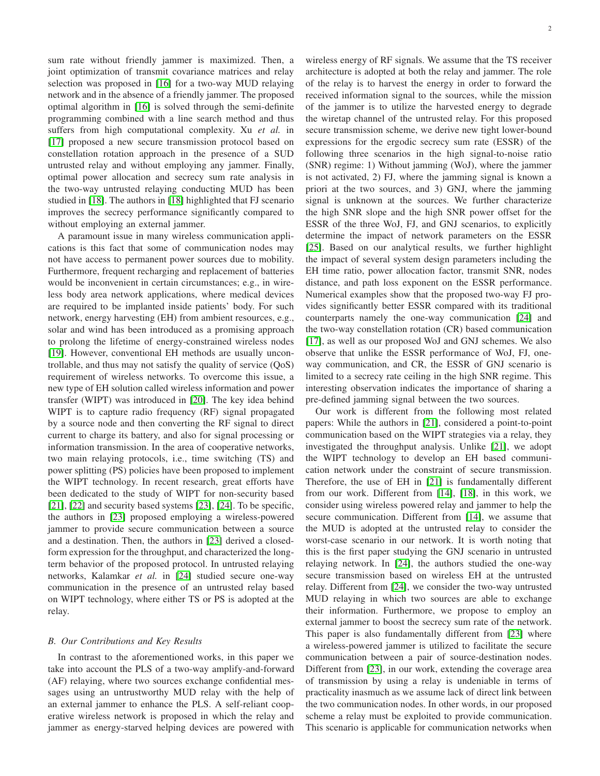sum rate without friendly jammer is maximized. Then, a joint optimization of transmit covariance matrices and relay selection was proposed in [\[16\]](#page-13-13) for a two-way MUD relaying network and in the absence of a friendly jammer. The proposed optimal algorithm in [\[16\]](#page-13-13) is solved through the semi-definite programming combined with a line search method and thus suffers from high computational complexity. Xu *et al.* in [\[17\]](#page-13-11) proposed a new secure transmission protocol based on constellation rotation approach in the presence of a SUD untrusted relay and without employing any jammer. Finally, optimal power allocation and secrecy sum rate analysis in the two-way untrusted relaying conducting MUD has been studied in [\[18\]](#page-13-14). The authors in [\[18\]](#page-13-14) highlighted that FJ scenario improves the secrecy performance significantly compared to without employing an external jammer.

A paramount issue in many wireless communication applications is this fact that some of communication nodes may not have access to permanent power sources due to mobility. Furthermore, frequent recharging and replacement of batteries would be inconvenient in certain circumstances; e.g., in wireless body area network applications, where medical devices are required to be implanted inside patients' body. For such network, energy harvesting (EH) from ambient resources, e.g., solar and wind has been introduced as a promising approach to prolong the lifetime of energy-constrained wireless nodes [\[19\]](#page-13-15). However, conventional EH methods are usually uncontrollable, and thus may not satisfy the quality of service (QoS) requirement of wireless networks. To overcome this issue, a new type of EH solution called wireless information and power transfer (WIPT) was introduced in [\[20\]](#page-13-16). The key idea behind WIPT is to capture radio frequency (RF) signal propagated by a source node and then converting the RF signal to direct current to charge its battery, and also for signal processing or information transmission. In the area of cooperative networks, two main relaying protocols, i.e., time switching (TS) and power splitting (PS) policies have been proposed to implement the WIPT technology. In recent research, great efforts have been dedicated to the study of WIPT for non-security based [\[21\]](#page-13-17), [\[22\]](#page-13-18) and security based systems [\[23\]](#page-13-19), [\[24\]](#page-13-20). To be specific, the authors in [\[23\]](#page-13-19) proposed employing a wireless-powered jammer to provide secure communication between a source and a destination. Then, the authors in [\[23\]](#page-13-19) derived a closedform expression for the throughput, and characterized the longterm behavior of the proposed protocol. In untrusted relaying networks, Kalamkar *et al.* in [\[24\]](#page-13-20) studied secure one-way communication in the presence of an untrusted relay based on WIPT technology, where either TS or PS is adopted at the relay.

# *B. Our Contributions and Key Results*

In contrast to the aforementioned works, in this paper we take into account the PLS of a two-way amplify-and-forward (AF) relaying, where two sources exchange confidential messages using an untrustworthy MUD relay with the help of an external jammer to enhance the PLS. A self-reliant cooperative wireless network is proposed in which the relay and jammer as energy-starved helping devices are powered with

wireless energy of RF signals. We assume that the TS receiver architecture is adopted at both the relay and jammer. The role of the relay is to harvest the energy in order to forward the received information signal to the sources, while the mission of the jammer is to utilize the harvested energy to degrade the wiretap channel of the untrusted relay. For this proposed secure transmission scheme, we derive new tight lower-bound expressions for the ergodic secrecy sum rate (ESSR) of the following three scenarios in the high signal-to-noise ratio (SNR) regime: 1) Without jamming (WoJ), where the jammer is not activated, 2) FJ, where the jamming signal is known a priori at the two sources, and 3) GNJ, where the jamming signal is unknown at the sources. We further characterize the high SNR slope and the high SNR power offset for the ESSR of the three WoJ, FJ, and GNJ scenarios, to explicitly determine the impact of network parameters on the ESSR [\[25\]](#page-13-21). Based on our analytical results, we further highlight the impact of several system design parameters including the EH time ratio, power allocation factor, transmit SNR, nodes distance, and path loss exponent on the ESSR performance. Numerical examples show that the proposed two-way FJ provides significantly better ESSR compared with its traditional counterparts namely the one-way communication [\[24\]](#page-13-20) and the two-way constellation rotation (CR) based communication [\[17\]](#page-13-11), as well as our proposed WoJ and GNJ schemes. We also observe that unlike the ESSR performance of WoJ, FJ, oneway communication, and CR, the ESSR of GNJ scenario is limited to a secrecy rate ceiling in the high SNR regime. This interesting observation indicates the importance of sharing a pre-defined jamming signal between the two sources.

Our work is different from the following most related papers: While the authors in [\[21\]](#page-13-17), considered a point-to-point communication based on the WIPT strategies via a relay, they investigated the throughput analysis. Unlike [\[21\]](#page-13-17), we adopt the WIPT technology to develop an EH based communication network under the constraint of secure transmission. Therefore, the use of EH in [\[21\]](#page-13-17) is fundamentally different from our work. Different from [\[14\]](#page-13-10), [\[18\]](#page-13-14), in this work, we consider using wireless powered relay and jammer to help the secure communication. Different from [\[14\]](#page-13-10), we assume that the MUD is adopted at the untrusted relay to consider the worst-case scenario in our network. It is worth noting that this is the first paper studying the GNJ scenario in untrusted relaying network. In [\[24\]](#page-13-20), the authors studied the one-way secure transmission based on wireless EH at the untrusted relay. Different from [\[24\]](#page-13-20), we consider the two-way untrusted MUD relaying in which two sources are able to exchange their information. Furthermore, we propose to employ an external jammer to boost the secrecy sum rate of the network. This paper is also fundamentally different from [\[23\]](#page-13-19) where a wireless-powered jammer is utilized to facilitate the secure communication between a pair of source-destination nodes. Different from [\[23\]](#page-13-19), in our work, extending the coverage area of transmission by using a relay is undeniable in terms of practicality inasmuch as we assume lack of direct link between the two communication nodes. In other words, in our proposed scheme a relay must be exploited to provide communication. This scenario is applicable for communication networks when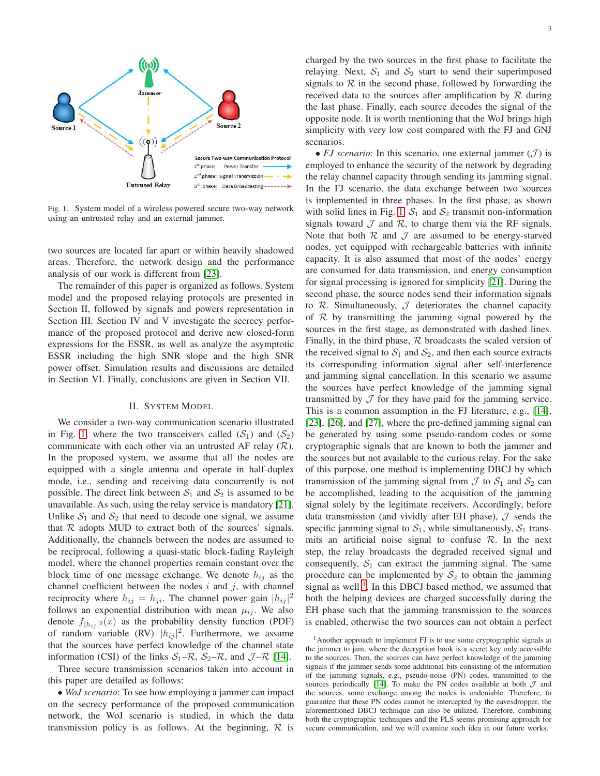

<span id="page-2-0"></span>Fig. 1. System model of a wireless powered secure two-way network using an untrusted relay and an external jammer.

two sources are located far apart or within heavily shadowed areas. Therefore, the network design and the performance analysis of our work is different from [\[23\]](#page-13-19).

The remainder of this paper is organized as follows. System model and the proposed relaying protocols are presented in Section II, followed by signals and powers representation in Section III. Section IV and V investigate the secrecy performance of the proposed protocol and derive new closed-form expressions for the ESSR, as well as analyze the asymptotic ESSR including the high SNR slope and the high SNR power offset. Simulation results and discussions are detailed in Section VI. Finally, conclusions are given in Section VII.

## II. SYSTEM MODEL

We consider a two-way communication scenario illustrated in Fig. [1,](#page-2-0) where the two transceivers called  $(S_1)$  and  $(S_2)$ communicate with each other via an untrusted AF relay  $(R)$ . In the proposed system, we assume that all the nodes are equipped with a single antenna and operate in half-duplex mode, i.e., sending and receiving data concurrently is not possible. The direct link between  $S_1$  and  $S_2$  is assumed to be unavailable. As such, using the relay service is mandatory [\[21\]](#page-13-17). Unlike  $S_1$  and  $S_2$  that need to decode one signal, we assume that  $R$  adopts MUD to extract both of the sources' signals. Additionally, the channels between the nodes are assumed to be reciprocal, following a quasi-static block-fading Rayleigh model, where the channel properties remain constant over the block time of one message exchange. We denote  $h_{ij}$  as the channel coefficient between the nodes  $i$  and  $j$ , with channel reciprocity where  $h_{ij} = h_{ji}$ . The channel power gain  $|h_{ij}|^2$ follows an exponential distribution with mean  $\mu_{ij}$ . We also denote  $f_{|h_{ij}|^2}(x)$  as the probability density function (PDF) of random variable (RV)  $|h_{ij}|^2$ . Furthermore, we assume that the sources have perfect knowledge of the channel state information (CSI) of the links  $S_1$ – $R$ ,  $S_2$ – $R$ , and  $J$ – $R$  [\[14\]](#page-13-10).

Three secure transmission scenarios taken into account in this paper are detailed as follows:

• *WoJ scenario*: To see how employing a jammer can impact on the secrecy performance of the proposed communication network, the WoJ scenario is studied, in which the data transmission policy is as follows. At the beginning,  $R$  is

charged by the two sources in the first phase to facilitate the relaying. Next,  $S_1$  and  $S_2$  start to send their superimposed signals to  $R$  in the second phase, followed by forwarding the received data to the sources after amplification by  $R$  during the last phase. Finally, each source decodes the signal of the opposite node. It is worth mentioning that the WoJ brings high simplicity with very low cost compared with the FJ and GNJ scenarios.

• *FJ scenario*: In this scenario, one external jammer  $(\mathcal{J})$  is employed to enhance the security of the network by degrading the relay channel capacity through sending its jamming signal. In the FJ scenario, the data exchange between two sources is implemented in three phases. In the first phase, as shown with solid lines in Fig. [1,](#page-2-0)  $S_1$  and  $S_2$  transmit non-information signals toward  $\mathcal J$  and  $\mathcal R$ , to charge them via the RF signals. Note that both  $R$  and  $J$  are assumed to be energy-starved nodes, yet equipped with rechargeable batteries with infinite capacity. It is also assumed that most of the nodes' energy are consumed for data transmission, and energy consumption for signal processing is ignored for simplicity [\[21\]](#page-13-17). During the second phase, the source nodes send their information signals to  $R$ . Simultaneously,  $J$  deteriorates the channel capacity of  $R$  by transmitting the jamming signal powered by the sources in the first stage, as demonstrated with dashed lines. Finally, in the third phase,  $R$  broadcasts the scaled version of the received signal to  $S_1$  and  $S_2$ , and then each source extracts its corresponding information signal after self-interference and jamming signal cancellation. In this scenario we assume the sources have perfect knowledge of the jamming signal transmitted by  $\mathcal J$  for they have paid for the jamming service. This is a common assumption in the FJ literature, e.g., [\[14\]](#page-13-10), [\[23\]](#page-13-19), [\[26\]](#page-13-22), and [\[27\]](#page-13-23), where the pre-defined jamming signal can be generated by using some pseudo-random codes or some cryptographic signals that are known to both the jammer and the sources but not available to the curious relay. For the sake of this purpose, one method is implementing DBCJ by which transmission of the jamming signal from  $\mathcal J$  to  $\mathcal S_1$  and  $\mathcal S_2$  can be accomplished, leading to the acquisition of the jamming signal solely by the legitimate receivers. Accordingly, before data transmission (and vividly after EH phase),  $J$  sends the specific jamming signal to  $S_1$ , while simultaneously,  $S_1$  transmits an artificial noise signal to confuse  $R$ . In the next step, the relay broadcasts the degraded received signal and consequently,  $S_1$  can extract the jamming signal. The same procedure can be implemented by  $S_2$  to obtain the jamming signal as well<sup>[1](#page-2-1)</sup>. In this DBCJ based method, we assumed that both the helping devices are charged successfully during the EH phase such that the jamming transmission to the sources is enabled, otherwise the two sources can not obtain a perfect

<span id="page-2-1"></span><sup>&</sup>lt;sup>1</sup>Another approach to implement FJ is to use some cryptographic signals at the jammer to jam, where the decryption book is a secret key only accessible to the sources. Then, the sources can have perfect knowledge of the jamming signals if the jammer sends some additional bits consisting of the information of the jamming signals, e.g., pseudo-noise (PN) codes, transmitted to the sources periodically [\[14\]](#page-13-10). To make the PN codes available at both  $\mathcal J$  and the sources, some exchange among the nodes is undeniable. Therefore, to guarantee that these PN codes cannot be intercepted by the eavesdropper, the aforementioned DBCJ technique can also be utilized. Therefore, combining both the cryptographic techniques and the PLS seems promising approach for secure communication, and we will examine such idea in our future works.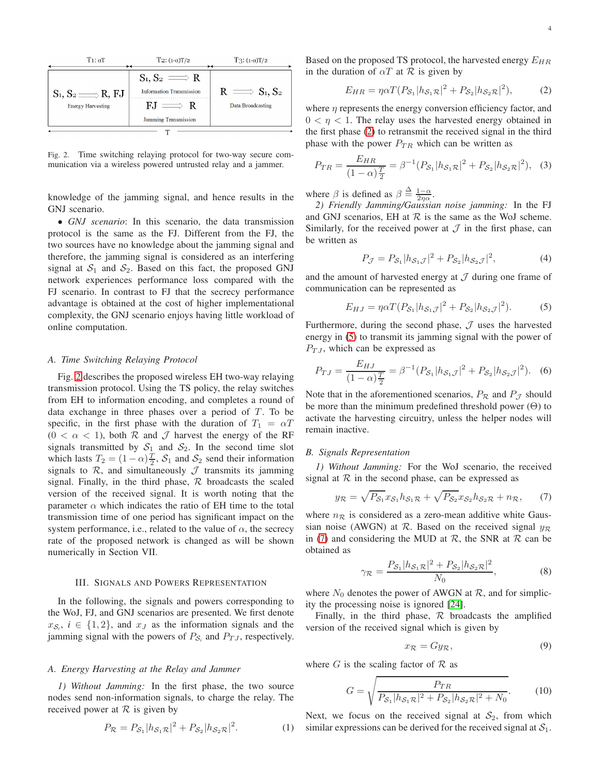

<span id="page-3-0"></span>Fig. 2. Time switching relaying protocol for two-way secure communication via a wireless powered untrusted relay and a jammer.

knowledge of the jamming signal, and hence results in the GNJ scenario.

• *GNJ scenario*: In this scenario, the data transmission protocol is the same as the FJ. Different from the FJ, the two sources have no knowledge about the jamming signal and therefore, the jamming signal is considered as an interfering signal at  $S_1$  and  $S_2$ . Based on this fact, the proposed GNJ network experiences performance loss compared with the FJ scenario. In contrast to FJ that the secrecy performance advantage is obtained at the cost of higher implementational complexity, the GNJ scenario enjoys having little workload of online computation.

## *A. Time Switching Relaying Protocol*

Fig. [2](#page-3-0) describes the proposed wireless EH two-way relaying transmission protocol. Using the TS policy, the relay switches from EH to information encoding, and completes a round of data exchange in three phases over a period of  $T$ . To be specific, in the first phase with the duration of  $T_1 = \alpha T$  $(0 < \alpha < 1)$ , both  $\mathcal R$  and  $\mathcal J$  harvest the energy of the RF signals transmitted by  $S_1$  and  $S_2$ . In the second time slot which lasts  $T_2 = (1 - \alpha) \frac{T}{2}$ ,  $S_1$  and  $S_2$  send their information signals to  $R$ , and simultaneously  $J$  transmits its jamming signal. Finally, in the third phase,  $R$  broadcasts the scaled version of the received signal. It is worth noting that the parameter  $\alpha$  which indicates the ratio of EH time to the total transmission time of one period has significant impact on the system performance, i.e., related to the value of  $\alpha$ , the secrecy rate of the proposed network is changed as will be shown numerically in Section VII.

## III. SIGNALS AND POWERS REPRESENTATION

In the following, the signals and powers corresponding to the WoJ, FJ, and GNJ scenarios are presented. We first denote  $x_{\mathcal{S}_i}$ ,  $i \in \{1,2\}$ , and  $x_J$  as the information signals and the jamming signal with the powers of  $P_{\mathcal{S}_i}$  and  $P_{TJ}$ , respectively.

#### *A. Energy Harvesting at the Relay and Jammer*

*1) Without Jamming:* In the first phase, the two source nodes send non-information signals, to charge the relay. The received power at  $R$  is given by

<span id="page-3-8"></span>
$$
P_{\mathcal{R}} = P_{\mathcal{S}_1} |h_{\mathcal{S}_1 \mathcal{R}}|^2 + P_{\mathcal{S}_2} |h_{\mathcal{S}_2 \mathcal{R}}|^2.
$$
 (1)

Based on the proposed TS protocol, the harvested energy  $E_{HR}$ in the duration of  $\alpha T$  at  $\mathcal R$  is given by

<span id="page-3-1"></span>
$$
E_{HR} = \eta \alpha T (P_{\mathcal{S}_1} |h_{\mathcal{S}_1 \mathcal{R}}|^2 + P_{\mathcal{S}_2} |h_{\mathcal{S}_2 \mathcal{R}}|^2),\tag{2}
$$

where  $\eta$  represents the energy conversion efficiency factor, and  $0 < \eta < 1$ . The relay uses the harvested energy obtained in the first phase [\(2\)](#page-3-1) to retransmit the received signal in the third phase with the power  $P_{TR}$  which can be written as

$$
P_{TR} = \frac{E_{HR}}{(1 - \alpha)\frac{T}{2}} = \beta^{-1} (P_{S_1} |h_{S_1 \mathcal{R}}|^2 + P_{S_2} |h_{S_2 \mathcal{R}}|^2), \quad (3)
$$

where  $\beta$  is defined as  $\beta \stackrel{\Delta}{=} \frac{1-\alpha}{2\eta\alpha}$ .

*2) Friendly Jamming/Gaussian noise jamming:* In the FJ and GNJ scenarios, EH at  $R$  is the same as the WoJ scheme. Similarly, for the received power at  $\mathcal J$  in the first phase, can be written as

<span id="page-3-9"></span>
$$
P_{\mathcal{J}} = P_{\mathcal{S}_1} |h_{\mathcal{S}_1 \mathcal{J}}|^2 + P_{\mathcal{S}_2} |h_{\mathcal{S}_2 \mathcal{J}}|^2, \tag{4}
$$

and the amount of harvested energy at  $\mathcal J$  during one frame of communication can be represented as

<span id="page-3-6"></span><span id="page-3-2"></span>
$$
E_{HJ} = \eta \alpha T (P_{\mathcal{S}_1} |h_{\mathcal{S}_1 \mathcal{J}}|^2 + P_{\mathcal{S}_2} |h_{\mathcal{S}_2 \mathcal{J}}|^2). \tag{5}
$$

Furthermore, during the second phase,  $\mathcal J$  uses the harvested energy in [\(5\)](#page-3-2) to transmit its jamming signal with the power of  $P_{TJ}$ , which can be expressed as

$$
P_{TJ} = \frac{E_{HJ}}{(1-\alpha)\frac{T}{2}} = \beta^{-1} (P_{\mathcal{S}_1} |h_{\mathcal{S}_1 \mathcal{J}}|^2 + P_{\mathcal{S}_2} |h_{\mathcal{S}_2 \mathcal{J}}|^2). \tag{6}
$$

Note that in the aforementioned scenarios,  $P_R$  and  $P_J$  should be more than the minimum predefined threshold power  $(\Theta)$  to activate the harvesting circuitry, unless the helper nodes will remain inactive.

## *B. Signals Representation*

*1) Without Jamming:* For the WoJ scenario, the received signal at  $R$  in the second phase, can be expressed as

$$
y_{\mathcal{R}} = \sqrt{P_{\mathcal{S}_1}} x_{\mathcal{S}_1} h_{\mathcal{S}_1 \mathcal{R}} + \sqrt{P_{\mathcal{S}_2}} x_{\mathcal{S}_2} h_{\mathcal{S}_2 \mathcal{R}} + n_{\mathcal{R}},\qquad(7)
$$

where  $n_{\mathcal{R}}$  is considered as a zero-mean additive white Gaussian noise (AWGN) at  $R$ . Based on the received signal  $y_R$ in [\(7\)](#page-3-3) and considering the MUD at  $R$ , the SNR at  $R$  can be obtained as

<span id="page-3-3"></span>
$$
\gamma_{\mathcal{R}} = \frac{P_{\mathcal{S}_1} |h_{\mathcal{S}_1 \mathcal{R}}|^2 + P_{\mathcal{S}_2} |h_{\mathcal{S}_2 \mathcal{R}}|^2}{N_0},\tag{8}
$$

where  $N_0$  denotes the power of AWGN at  $\mathcal{R}$ , and for simplicity the processing noise is ignored [\[24\]](#page-13-20).

Finally, in the third phase,  $R$  broadcasts the amplified version of the received signal which is given by

<span id="page-3-7"></span><span id="page-3-4"></span>
$$
x_{\mathcal{R}} = Gy_{\mathcal{R}},\tag{9}
$$

where G is the scaling factor of  $\mathcal R$  as

<span id="page-3-5"></span>
$$
G = \sqrt{\frac{P_{TR}}{P_{\mathcal{S}_1} |h_{\mathcal{S}_1 \mathcal{R}}|^2 + P_{\mathcal{S}_2} |h_{\mathcal{S}_2 \mathcal{R}}|^2 + N_0}}.
$$
(10)

Next, we focus on the received signal at  $S_2$ , from which similar expressions can be derived for the received signal at  $S_1$ .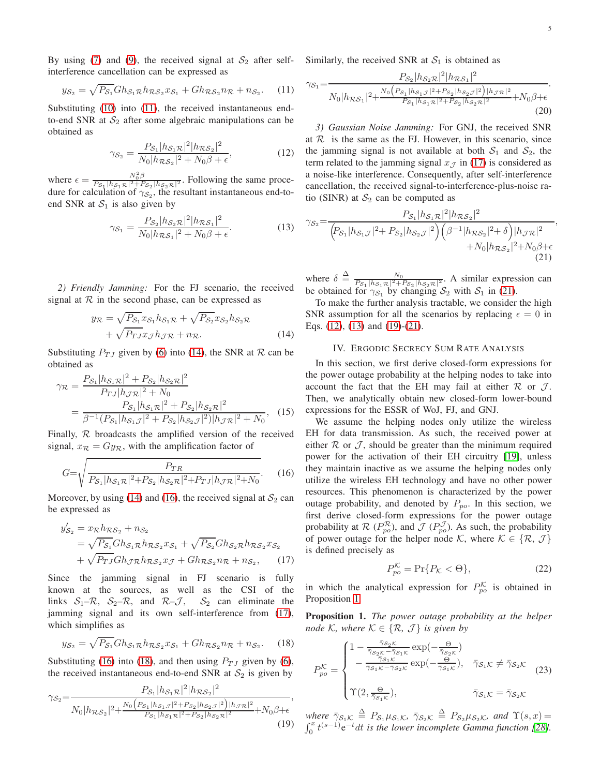By using [\(7\)](#page-3-3) and [\(9\)](#page-3-4), the received signal at  $S_2$  after selfinterference cancellation can be expressed as

$$
y_{\mathcal{S}_2} = \sqrt{P_{\mathcal{S}_1}} Gh_{\mathcal{S}_1 \mathcal{R}} h_{\mathcal{R} \mathcal{S}_2} x_{\mathcal{S}_1} + Gh_{\mathcal{R} \mathcal{S}_2} n_{\mathcal{R}} + n_{\mathcal{S}_2}.
$$
 (11)

Substituting [\(10\)](#page-3-5) into [\(11\)](#page-4-0), the received instantaneous endto-end SNR at  $S_2$  after some algebraic manipulations can be obtained as

$$
\gamma_{S_2} = \frac{P_{S_1} |h_{S_1 \mathcal{R}}|^2 |h_{\mathcal{R}S_2}|^2}{N_0 |h_{\mathcal{R}S_2}|^2 + N_0 \beta + \epsilon},\tag{12}
$$

where  $\epsilon = \frac{N_0^2 \beta}{P \epsilon |\log n|^2 + E}$  $\frac{N_0 P}{P_{s_1} |h_{s_1} \pi|^2 + P_{s_2} |h_{s_2} \pi|^2}$ . Following the same procedure for calculation of  $\gamma_{\mathcal{S}_2}$ , the resultant instantaneous end-toend SNR at  $S_1$  is also given by

<span id="page-4-7"></span>
$$
\gamma_{S_1} = \frac{P_{S_2} |h_{S_2} \mathcal{R}|^2 |h_{\mathcal{RS}_1}|^2}{N_0 |h_{\mathcal{RS}_1}|^2 + N_0 \beta + \epsilon}.
$$
 (13)

*2) Friendly Jamming:* For the FJ scenario, the received signal at  $R$  in the second phase, can be expressed as

$$
y_{\mathcal{R}} = \sqrt{P_{\mathcal{S}_1}} x_{\mathcal{S}_1} h_{\mathcal{S}_1 \mathcal{R}} + \sqrt{P_{\mathcal{S}_2}} x_{\mathcal{S}_2} h_{\mathcal{S}_2 \mathcal{R}}
$$

$$
+ \sqrt{P_{TJ}} x_{\mathcal{J}} h_{\mathcal{J} \mathcal{R}} + n_{\mathcal{R}}.
$$
(14)

Substituting  $P_{TJ}$  given by [\(6\)](#page-3-6) into [\(14\)](#page-4-1), the SNR at R can be obtained as

$$
\gamma_{\mathcal{R}} = \frac{P_{\mathcal{S}_1} |h_{\mathcal{S}_1 \mathcal{R}}|^2 + P_{\mathcal{S}_2} |h_{\mathcal{S}_2 \mathcal{R}}|^2}{P_{\mathcal{T}J} |h_{\mathcal{J} \mathcal{R}}|^2 + N_0}
$$
  
= 
$$
\frac{P_{\mathcal{S}_1} |h_{\mathcal{S}_1 \mathcal{R}}|^2 + P_{\mathcal{S}_2} |h_{\mathcal{S}_2 \mathcal{R}}|^2}{\beta^{-1} (P_{\mathcal{S}_1} |h_{\mathcal{S}_1 \mathcal{J}}|^2 + P_{\mathcal{S}_2} |h_{\mathcal{S}_2 \mathcal{J}}|^2) |h_{\mathcal{J} \mathcal{R}}|^2 + N_0}, \quad (15)
$$

Finally,  $R$  broadcasts the amplified version of the received signal,  $x_R = Gy_R$ , with the amplification factor of

$$
G=\sqrt{\frac{P_{TR}}{P_{S_1}|h_{S_1R}|^2+P_{S_2}|h_{S_2R}|^2+P_{TJ}|h_{\mathcal{J}R}|^2+N_0}}.\tag{16}
$$

Moreover, by using [\(14\)](#page-4-1) and [\(16\)](#page-4-2), the received signal at  $S_2$  can be expressed as

$$
y'_{S_2} = x_R h_{RS_2} + n_{S_2}
$$
  
=  $\sqrt{P_{S_1}} G h_{S_1 R} h_{RS_2} x_{S_1} + \sqrt{P_{S_2}} G h_{S_2 R} h_{RS_2} x_{S_2}$   
+  $\sqrt{P_{T J}} G h_{J R} h_{RS_2} x_{J} + G h_{RS_2} n_{R} + n_{S_2},$  (17)

Since the jamming signal in FJ scenario is fully known at the sources, as well as the CSI of the links  $S_1-R$ ,  $S_2-R$ , and  $R-J$ ,  $S_2$  can eliminate the jamming signal and its own self-interference from [\(17\)](#page-4-3), which simplifies as

<span id="page-4-4"></span>
$$
y_{\mathcal{S}_2} = \sqrt{P_{\mathcal{S}_1}} Gh_{\mathcal{S}_1 \mathcal{R}} h_{\mathcal{R} \mathcal{S}_2} x_{\mathcal{S}_1} + Gh_{\mathcal{R} \mathcal{S}_2} n_{\mathcal{R}} + n_{\mathcal{S}_2}.
$$
 (18)

Substituting [\(16\)](#page-4-2) into [\(18\)](#page-4-4), and then using  $P_{TJ}$  given by [\(6\)](#page-3-6), the received instantaneous end-to-end SNR at  $S_2$  is given by

$$
\gamma_{\mathcal{S}_2} = \frac{P_{\mathcal{S}_1} |h_{\mathcal{S}_1 \mathcal{R}}|^2 |h_{\mathcal{R}\mathcal{S}_2}|^2}{N_0 |h_{\mathcal{R}\mathcal{S}_2}|^2 + \frac{N_0 \left(P_{\mathcal{S}_1} |h_{\mathcal{S}_1 \mathcal{J}}|^2 + P_{\mathcal{S}_2} |h_{\mathcal{S}_2 \mathcal{J}}|^2\right) |h_{\mathcal{J}\mathcal{R}}|^2}{P_{\mathcal{S}_1} |h_{\mathcal{S}_1 \mathcal{R}}|^2 + P_{\mathcal{S}_2} |h_{\mathcal{S}_2 \mathcal{R}}|^2} + N_0 \beta + \epsilon} (19)
$$

Similarly, the received SNR at  $S_1$  is obtained as

<span id="page-4-11"></span><span id="page-4-0"></span>
$$
\gamma_{\mathcal{S}_1} = \frac{P_{\mathcal{S}_2} |h_{\mathcal{S}_2} \mathcal{R}|^2 |h_{\mathcal{R}\mathcal{S}_1}|^2}{N_0 |h_{\mathcal{R}\mathcal{S}_1}|^2 + \frac{N_0 \left(P_{\mathcal{S}_1} |h_{\mathcal{S}_1 \mathcal{J}}|^2 + P_{\mathcal{S}_2} |h_{\mathcal{S}_2 \mathcal{J}}|^2\right) |h_{\mathcal{J}\mathcal{R}}|^2}{P_{\mathcal{S}_1} |h_{\mathcal{S}_1 \mathcal{R}}|^2 + P_{\mathcal{S}_2} |h_{\mathcal{S}_2 \mathcal{R}}|^2} + N_0 \beta + \epsilon}.
$$
\n(20)

<span id="page-4-6"></span>*3) Gaussian Noise Jamming:* For GNJ, the received SNR at  $R$  is the same as the FJ. However, in this scenario, since the jamming signal is not available at both  $S_1$  and  $S_2$ , the term related to the jamming signal  $x_{\mathcal{J}}$  in [\(17\)](#page-4-3) is considered as a noise-like interference. Consequently, after self-interference cancellation, the received signal-to-interference-plus-noise ratio (SINR) at  $S_2$  can be computed as

$$
\gamma_{S_2} = \frac{P_{S_1}|h_{S_1\mathcal{R}}|^2|h_{\mathcal{R}S_2}|^2}{\left(P_{S_1}|h_{S_1\mathcal{J}}|^2 + P_{S_2}|h_{S_2\mathcal{J}}|^2\right)\left(\beta^{-1}|h_{\mathcal{R}S_2}|^2 + \delta\right)|h_{\mathcal{J}\mathcal{R}}|^2} + N_0|h_{\mathcal{R}S_2}|^2 + N_0\beta + \epsilon \tag{21}
$$

where  $\delta \triangleq \frac{N_0}{P_{s_1}|h_{s_1} \pi|^2 + P_{s_2}|h_{s_2} \pi|^2}$ . A similar expression can be obtained for  $\gamma_{S_1}$  by changing  $S_2$  with  $S_1$  in [\(21\)](#page-4-5).

<span id="page-4-1"></span>To make the further analysis tractable, we consider the high SNR assumption for all the scenarios by replacing  $\epsilon = 0$  in Eqs. [\(12\)](#page-4-6), [\(13\)](#page-4-7) and [\(19\)](#page-4-8)-[\(21\)](#page-4-5).

## <span id="page-4-5"></span>IV. ERGODIC SECRECY SUM RATE ANALYSIS

In this section, we first derive closed-form expressions for the power outage probability at the helping nodes to take into account the fact that the EH may fail at either  $\mathcal R$  or  $\mathcal J$ . Then, we analytically obtain new closed-form lower-bound expressions for the ESSR of WoJ, FJ, and GNJ.

<span id="page-4-10"></span><span id="page-4-2"></span>We assume the helping nodes only utilize the wireless EH for data transmission. As such, the received power at either  $\mathcal R$  or  $\mathcal J$ , should be greater than the minimum required power for the activation of their EH circuitry [\[19\]](#page-13-15), unless they maintain inactive as we assume the helping nodes only utilize the wireless EH technology and have no other power resources. This phenomenon is characterized by the power outage probability, and denoted by  $P_{po}$ . In this section, we first derive closed-form expressions for the power outage probability at  $\mathcal{R}$  ( $P_{po}^{\mathcal{R}}$ ), and  $\mathcal{J}$  ( $P_{po}^{\mathcal{J}}$ ). As such, the probability of power outage for the helper node K, where  $\mathcal{K} \in \{R, \mathcal{J}\}\$ is defined precisely as

<span id="page-4-13"></span><span id="page-4-12"></span>
$$
P_{po}^{\mathcal{K}} = \Pr\{P_{\mathcal{K}} < \Theta\},\tag{22}
$$

<span id="page-4-3"></span>in which the analytical expression for  $P_{po}^{\kappa}$  is obtained in Proposition [1.](#page-4-9)

<span id="page-4-9"></span>Proposition 1. *The power outage probability at the helper node* K, where  $K \in \{R, \mathcal{J}\}\$ is given by

$$
P_{po}^{\mathcal{K}} = \begin{cases} 1 - \frac{\bar{\gamma}s_2 \kappa}{\bar{\gamma}s_2 \kappa - \bar{\gamma}s_1 \kappa} \exp(-\frac{\Theta}{\bar{\gamma}s_2 \kappa}) \\ - \frac{\bar{\gamma}s_1 \kappa}{\bar{\gamma}s_1 \kappa - \bar{\gamma}s_2 \kappa} \exp(-\frac{\Theta}{\bar{\gamma}s_1 \kappa}), & \bar{\gamma}s_1 \kappa \neq \bar{\gamma}s_2 \kappa \\ \Upsilon(2, \frac{\Theta}{\bar{\gamma}s_1 \kappa}), & \bar{\gamma}s_1 \kappa = \bar{\gamma}s_2 \kappa \end{cases} (23)
$$

<span id="page-4-8"></span>where  $\bar{\gamma}_{S_1K} \triangleq P_{S_1} \mu_{S_1K}$ ,  $\bar{\gamma}_{S_2K} \triangleq P_{S_2} \mu_{S_2K}$ , and  $\Upsilon(s, x) =$ <br> $\int_0^x t^{(s-1)} e^{-t} dt$  is the lower incomplete Gamma function [\[28\]](#page-13-24).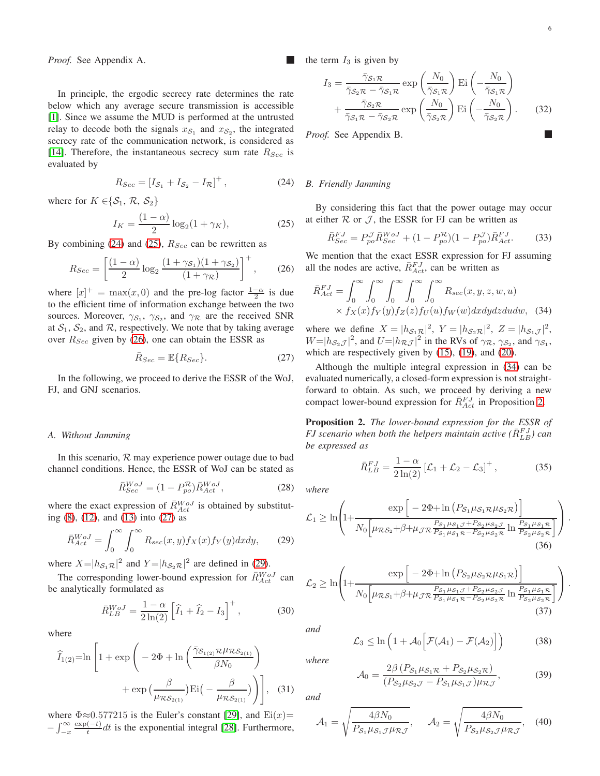6

<span id="page-5-9"></span><span id="page-5-8"></span><span id="page-5-7"></span><span id="page-5-5"></span> $(35)$ 

*Proof.* See Appendix A.

In principle, the ergodic secrecy rate determines the rate below which any average secure transmission is accessible [\[1\]](#page-13-0). Since we assume the MUD is performed at the untrusted relay to decode both the signals  $x_{S_1}$  and  $x_{S_2}$ , the integrated secrecy rate of the communication network, is considered as [\[14\]](#page-13-10). Therefore, the instantaneous secrecy sum rate  $R_{Sec}$  is evaluated by

<span id="page-5-0"></span>
$$
R_{Sec} = [I_{S_1} + I_{S_2} - I_{\mathcal{R}}]^+, \tag{24}
$$

where for  $K \in \{S_1, R, S_2\}$ 

<span id="page-5-1"></span>
$$
I_K = \frac{(1 - \alpha)}{2} \log_2(1 + \gamma_K),
$$
 (25)

By combining [\(24\)](#page-5-0) and [\(25\)](#page-5-1),  $R_{Sec}$  can be rewritten as

<span id="page-5-2"></span>
$$
R_{Sec} = \left[\frac{(1-\alpha)}{2}\log_2\frac{(1+\gamma_{S_1})(1+\gamma_{S_2})}{(1+\gamma_{R})}\right]^+, \qquad (26)
$$

where  $[x]^{+} = \max(x, 0)$  and the pre-log factor  $\frac{1-\alpha}{2}$  is due to the efficient time of information exchange between the two sources. Moreover,  $\gamma_{S_1}$ ,  $\gamma_{S_2}$ , and  $\gamma_{\mathcal{R}}$  are the received SNR at  $S_1$ ,  $S_2$ , and  $R$ , respectively. We note that by taking average over  $R_{Sec}$  given by [\(26\)](#page-5-2), one can obtain the ESSR as

<span id="page-5-3"></span>
$$
\bar{R}_{Sec} = \mathbb{E}\{R_{Sec}\}.
$$
 (27)

In the following, we proceed to derive the ESSR of the WoJ, FJ, and GNJ scenarios.

# *A. Without Jamming*

In this scenario,  $R$  may experience power outage due to bad channel conditions. Hence, the ESSR of WoJ can be stated as

<span id="page-5-10"></span>
$$
\bar{R}_{Sec}^{WoJ} = (1 - P_{po}^{\mathcal{R}}) \bar{R}_{Act}^{WoJ},\tag{28}
$$

where the exact expression of  $\bar{R}_{Act}^{WoJ}$  is obtained by substituting [\(8\)](#page-3-7), [\(12\)](#page-4-6), and [\(13\)](#page-4-7) into [\(27\)](#page-5-3) as

$$
\bar{R}_{Act}^{WoJ} = \int_0^\infty \int_0^\infty R_{sec}(x, y) f_X(x) f_Y(y) dx dy, \qquad (29)
$$

where  $X = |h_{S_1 \mathcal{R}}|^2$  and  $Y = |h_{S_2 \mathcal{R}}|^2$  are defined in [\(29\)](#page-5-4).

The corresponding lower-bound expression for  $\bar{R}_{Act}^{WoJ}$  can be analytically formulated as

$$
\bar{R}_{LB}^{WoJ} = \frac{1-\alpha}{2\ln(2)} \left[ \hat{I}_1 + \hat{I}_2 - I_3 \right]^+, \tag{30}
$$

where

$$
\widehat{I}_{1(2)} = \ln \left[ 1 + \exp \left( -2\Phi + \ln \left( \frac{\bar{\gamma}_{\mathcal{S}_{1(2)}} \mathcal{R} \mu_{\mathcal{R} \mathcal{S}_{2(1)}}}{\beta N_0} \right) + \exp \left( \frac{\beta}{\mu_{\mathcal{R} \mathcal{S}_{2(1)}}} \right) \mathrm{Ei} \left( -\frac{\beta}{\mu_{\mathcal{R} \mathcal{S}_{2(1)}}} \right) \right], \quad (31)
$$

where  $\Phi \approx 0.577215$  is the Euler's constant [\[29\]](#page-13-25), and Ei(x)=  $-\int_{-x}^{\infty}$  $\frac{\exp(-t)}{t}$ dt is the exponential integral [\[28\]](#page-13-24). Furthermore, the term  $I_3$  is given by

$$
I_3 = \frac{\bar{\gamma}_{S_1 \mathcal{R}}}{\bar{\gamma}_{S_2 \mathcal{R}} - \bar{\gamma}_{S_1 \mathcal{R}}} \exp\left(\frac{N_0}{\bar{\gamma}_{S_1 \mathcal{R}}}\right) \mathrm{Ei}\left(-\frac{N_0}{\bar{\gamma}_{S_1 \mathcal{R}}}\right) + \frac{\bar{\gamma}_{S_2 \mathcal{R}}}{\bar{\gamma}_{S_1 \mathcal{R}} - \bar{\gamma}_{S_2 \mathcal{R}}} \exp\left(\frac{N_0}{\bar{\gamma}_{S_2 \mathcal{R}}}\right) \mathrm{Ei}\left(-\frac{N_0}{\bar{\gamma}_{S_2 \mathcal{R}}}\right).
$$
 (32)

*Proof.* See Appendix B.

# *B. Friendly Jamming*

By considering this fact that the power outage may occur at either  $R$  or  $J$ , the ESSR for FJ can be written as

<span id="page-5-11"></span>
$$
\bar{R}_{Sec}^{FJ} = P_{po}^{\mathcal{J}} \bar{R}_{Sec}^{WoJ} + (1 - P_{po}^{\mathcal{R}})(1 - P_{po}^{\mathcal{J}})\bar{R}_{Act}^{FJ}.
$$
 (33)

We mention that the exact ESSR expression for FJ assuming all the nodes are active,  $\bar{R}_{Act}^{FJ}$ , can be written as

$$
\bar{R}_{Act}^{FJ} = \int_0^\infty \int_0^\infty \int_0^\infty \int_0^\infty \int_0^\infty \int_0^\infty R_{sec}(x, y, z, w, u) \times f_X(x) f_Y(y) f_Z(z) f_U(u) f_W(w) dx dy dz du dw, \quad (34)
$$

where we define  $X = |h_{S_1 \mathcal{R}}|^2$ ,  $Y = |h_{S_2 \mathcal{R}}|^2$ ,  $Z = |h_{S_1 \mathcal{J}}|^2$ ,  $W = |h_{S_2\mathcal{J}}|^2$ , and  $U = |h_{\mathcal{R}\mathcal{J}}|^2$  in the RVs of  $\gamma_{\mathcal{R}}$ ,  $\gamma_{S_2}$ , and  $\gamma_{S_1}$ , which are respectively given by [\(15\)](#page-4-10), [\(19\)](#page-4-8), and [\(20\)](#page-4-11).

Although the multiple integral expression in [\(34\)](#page-5-5) can be evaluated numerically, a closed-form expression is not straightforward to obtain. As such, we proceed by deriving a new compact lower-bound expression for  $\bar{R}^{FJ}_{Act}$  in Proposition [2.](#page-5-6)

<span id="page-5-6"></span>Proposition 2. *The lower-bound expression for the ESSR of FJ* scenario when both the helpers maintain active ( $\bar{R}_{LB}^{FJ}$ ) can *be expressed as*

 $\bar{R}_{LB}^{FJ}=\frac{1-\alpha}{2\ln(2)}\left[\mathcal{L}_1+\mathcal{L}_2-\mathcal{L}_3\right]^+$ 

*where*

$$
\mathcal{L}_1 \geq \ln \left( 1 + \frac{\exp \left[ -2\Phi + \ln \left( P_{\mathcal{S}_1} \mu_{\mathcal{S}_1 \mathcal{R}} \mu_{\mathcal{S}_2 \mathcal{R}} \right) \right]}{N_0 \left[ \mu_{\mathcal{R}\mathcal{S}_2} + \beta + \mu_{\mathcal{J}\mathcal{R}} \frac{P_{\mathcal{S}_1} \mu_{\mathcal{S}_1 \mathcal{J}} + P_{\mathcal{S}_2} \mu_{\mathcal{S}_2 \mathcal{J}}}{P_{\mathcal{S}_1} \mu_{\mathcal{S}_1 \mathcal{R}} - P_{\mathcal{S}_2} \mu_{\mathcal{S}_2 \mathcal{R}}} \ln \frac{P_{\mathcal{S}_1} \mu_{\mathcal{S}_1 \mathcal{R}}}{P_{\mathcal{S}_2} \mu_{\mathcal{S}_2 \mathcal{R}}} \right] \right). \tag{36}
$$

<span id="page-5-4"></span>
$$
\mathcal{L}_2 \geq \ln \left( 1 + \frac{\exp \left[ -2\Phi + \ln \left( P_{\mathcal{S}_2} \mu_{\mathcal{S}_2} \pi \mu_{\mathcal{S}_1} \pi \right) \right]}{N_0 \left[ \mu_{\mathcal{R}\mathcal{S}_1} + \beta + \mu_{\mathcal{J}\mathcal{R}} \frac{P_{\mathcal{S}_1} \mu_{\mathcal{S}_1 \mathcal{J}} + P_{\mathcal{S}_2} \mu_{\mathcal{S}_2 \mathcal{J}}}{P_{\mathcal{S}_1} \mu_{\mathcal{S}_1 \mathcal{R}} - P_{\mathcal{S}_2} \mu_{\mathcal{S}_2 \mathcal{R}}} \ln \frac{P_{\mathcal{S}_1} \mu_{\mathcal{S}_1 \mathcal{R}}}{P_{\mathcal{S}_2} \mu_{\mathcal{S}_2 \mathcal{R}}} \right]} \right). \tag{37}
$$

*and*

 $\mathcal{L}_3 \leq \ln \left(1 + \mathcal{A}_0\right[\mathcal{F}(\mathcal{A}_1) - \mathcal{F}(\mathcal{A}_2))$ i (38)

$$
\mathcal{A}_0 = \frac{2\beta (P_{\mathcal{S}_1}\mu_{\mathcal{S}_1\mathcal{R}} + P_{\mathcal{S}_2}\mu_{\mathcal{S}_2\mathcal{R}})}{(P_{\mathcal{S}_2}\mu_{\mathcal{S}_2\mathcal{J}} - P_{\mathcal{S}_1}\mu_{\mathcal{S}_1\mathcal{J}})\mu_{\mathcal{R}\mathcal{J}}},\tag{39}
$$

*and*

*where*

$$
A_1 = \sqrt{\frac{4\beta N_0}{P_{\mathcal{S}_1}\mu_{\mathcal{S}_1\mathcal{J}}\mu_{\mathcal{R}\mathcal{J}}}}, \quad A_2 = \sqrt{\frac{4\beta N_0}{P_{\mathcal{S}_2}\mu_{\mathcal{S}_2\mathcal{J}}\mu_{\mathcal{R}\mathcal{J}}}}, \quad (40)
$$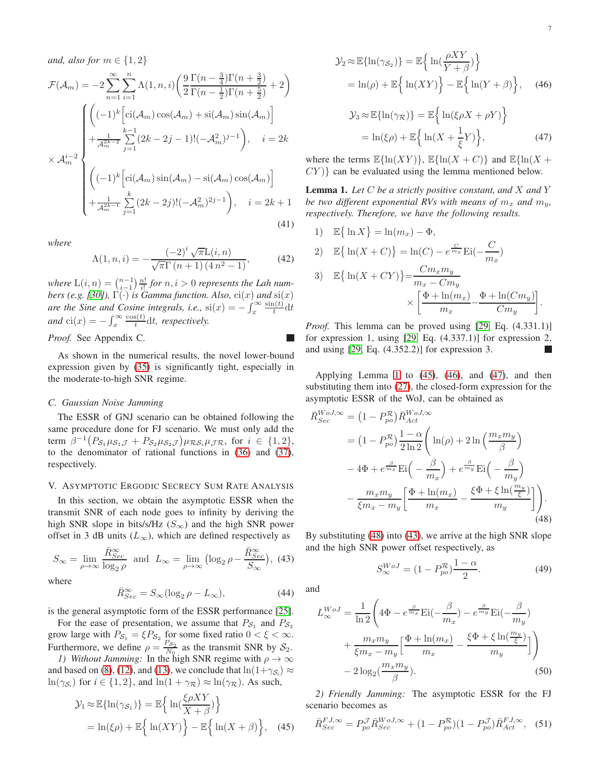*and, also for*  $m \in \{1, 2\}$ 

$$
\mathcal{F}(\mathcal{A}_m) = -2 \sum_{n=1}^{\infty} \sum_{i=1}^{n} \Lambda(1, n, i) \left( \frac{9}{2} \frac{\Gamma(n - \frac{3}{4}) \Gamma(n + \frac{3}{2})}{\Gamma(n - \frac{1}{2}) \Gamma(n + \frac{5}{2})} + 2 \right)
$$

$$
\times \mathcal{A}_m^{i-2} \begin{cases} \left( (-1)^k \left[ \text{ci}(\mathcal{A}_m) \cos(\mathcal{A}_m) + \text{si}(\mathcal{A}_m) \sin(\mathcal{A}_m) \right] + \frac{1}{\mathcal{A}_m^{2k-2}} \sum_{j=1}^{k-1} (2k - 2j - 1)! (-\mathcal{A}_m^2)^{j-1} \right), \quad i = 2k \\ \left( (-1)^k \left[ \text{ci}(\mathcal{A}_m) \sin(\mathcal{A}_m) - \text{si}(\mathcal{A}_m) \cos(\mathcal{A}_m) \right] + \frac{1}{\mathcal{A}_m^{2k-1}} \sum_{j=1}^{k} (2k - 2j)! (-\mathcal{A}_m^2)^{2j-1} \right), \quad i = 2k + 1 \end{cases}
$$
(41)

*where*

$$
\Lambda(1, n, i) = -\frac{(-2)^i \sqrt{\pi} \mathcal{L}(i, n)}{\sqrt{\pi} \Gamma(n+1) (4n^2 - 1)},
$$
(42)

*where*  $L(i, n) = \binom{n-1}{i} \frac{n!}{i!}$  *for*  $n, i > 0$  *represents the Lah num-bers (e.g. [\[30\]](#page-13-26)),*  $\Gamma(\cdot)$  *is Gamma function. Also,*  $\text{ci}(x)$  *and*  $\text{si}(x)$ *are the Sine and Cosine integrals, i.e.,*  $si(x) = -\int_x^{\infty}$  $\sin(t)$  $\frac{d(u)}{dt}dt$ *and*  $\text{ci}(x) = -\int_x^\infty$  $\cos(t)$  $\frac{s(t)}{t}$ dt, respectively.

*Proof.* See Appendix C.

As shown in the numerical results, the novel lower-bound expression given by [\(35\)](#page-5-7) is significantly tight, especially in the moderate-to-high SNR regime.

# *C. Gaussian Noise Jamming*

The ESSR of GNJ scenario can be obtained following the same procedure done for FJ scenario. We must only add the term  $\beta^{-1} (P_{\mathcal{S}_1} \mu_{\mathcal{S}_1} \mathcal{J} + P_{\mathcal{S}_2} \mu_{\mathcal{S}_2} \mathcal{J}) \mu_{\mathcal{R} \mathcal{S}_i} \mu_{\mathcal{J} \mathcal{R}}$ , for  $i \in \{1, 2\}$ , to the denominator of rational functions in [\(36\)](#page-5-8) and [\(37\)](#page-5-9), respectively.

## V. ASYMPTOTIC ERGODIC SECRECY SUM RATE ANALYSIS

In this section, we obtain the asymptotic ESSR when the transmit SNR of each node goes to infinity by deriving the high SNR slope in bits/s/Hz ( $S_{\infty}$ ) and the high SNR power offset in 3 dB units ( $L_{\infty}$ ), which are defined respectively as

<span id="page-6-5"></span>
$$
S_{\infty} = \lim_{\rho \to \infty} \frac{\bar{R}_{Sec}^{\infty}}{\log_2 \rho} \text{ and } L_{\infty} = \lim_{\rho \to \infty} \left( \log_2 \rho - \frac{\bar{R}_{Sec}^{\infty}}{S_{\infty}} \right), (43)
$$

where

$$
\bar{R}_{Sec}^{\infty} = S_{\infty} (\log_2 \rho - L_{\infty}),\tag{44}
$$

is the general asymptotic form of the ESSR performance [\[25\]](#page-13-21).

For the ease of presentation, we assume that  $P_{S_1}$  and  $P_{S_2}$ grow large with  $P_{S_1} = \xi P_{S_2}$  for some fixed ratio  $0 < \xi < \infty$ .

Furthermore, we define  $\rho = \frac{P_{S_2}}{N_0}$  as the transmit SNR by  $S_2$ .

*1) Without Jamming:* In the high SNR regime with  $\rho \to \infty$ and based on [\(8\)](#page-3-7), [\(12\)](#page-4-6), and [\(13\)](#page-4-7), we conclude that  $ln(1+\gamma s_i) \approx$  $\ln(\gamma_{\mathcal{S}_i})$  for  $i \in \{1, 2\}$ , and  $\ln(1 + \gamma_{\mathcal{R}}) \approx \ln(\gamma_{\mathcal{R}})$ . As such,

<span id="page-6-1"></span>
$$
\mathcal{Y}_1 \approx \mathbb{E}\{\ln(\gamma_{\mathcal{S}_1})\} = \mathbb{E}\left\{\ln(\frac{\xi \rho XY}{X + \beta})\right\}
$$
  
= ln(\xi \rho) + \mathbb{E}\left\{\ln(XY)\right\} - \mathbb{E}\left\{\ln(X + \beta)\right\}, (45)

<span id="page-6-2"></span>
$$
\mathcal{Y}_2 \approx \mathbb{E}\{\ln(\gamma_{\mathcal{S}_2})\} = \mathbb{E}\left\{\ln(\frac{\rho XY}{Y+\beta})\right\}
$$
  
=  $\ln(\rho) + \mathbb{E}\left\{\ln(XY)\right\} - \mathbb{E}\left\{\ln(Y+\beta)\right\},$  (46)

<span id="page-6-3"></span>
$$
\mathcal{Y}_3 \approx \mathbb{E}\{\ln(\gamma \mathcal{R})\} = \mathbb{E}\left\{\ln(\xi \rho X + \rho Y)\right\}
$$

$$
= \ln(\xi \rho) + \mathbb{E}\left\{\ln(X + \frac{1}{\xi}Y)\right\},\tag{47}
$$

where the terms  $\mathbb{E}\{\ln(XY)\},\,\mathbb{E}\{\ln(X+C)\}\,$  and  $\mathbb{E}\{\ln(X+C)\}\,$  $(Y)$ } can be evaluated using the lemma mentioned below.

<span id="page-6-0"></span>Lemma 1. *Let* C *be a strictly positive constant, and* X *and* Y *be two different exponential RVs with means of*  $m_x$  *and*  $m_y$ , *respectively. Therefore, we have the following results.*

1) 
$$
\mathbb{E}\left\{\ln X\right\} = \ln(m_x) - \Phi,
$$

2) 
$$
\mathbb{E}\left\{\ln(X+C)\right\} = \ln(C) - e^{\frac{C}{m_x}} \text{Ei}(-\frac{C}{m_x})
$$

3) 
$$
\mathbb{E}\left\{\ln(X+CY)\right\} = \frac{Cm_x m_y}{m_x - Cm_y} \times \left[\frac{\Phi + \ln(m_x)}{m_x} - \frac{\Phi + \ln(Cm_y)}{Cm_y}\right].
$$

*Proof.* This lemma can be proved using [\[29,](#page-13-25) Eq. (4.331.1)] for expression 1, using [\[29,](#page-13-25) Eq. (4.337.1)] for expression 2, and using [\[29,](#page-13-25) Eq. (4.352.2)] for expression 3. T.

Applying Lemma [1](#page-6-0) to  $(45)$ ,  $(46)$ , and  $(47)$ , and then substituting them into [\(27\)](#page-5-3), the closed-form expression for the asymptotic ESSR of the WoJ, can be obtained as

$$
\bar{R}_{Sec}^{WoJ,\infty} = \left(1 - P_{po}^{\mathcal{R}}\right) \bar{R}_{Act}^{WoJ,\infty}
$$
\n
$$
= \left(1 - P_{po}^{\mathcal{R}}\right) \frac{1 - \alpha}{2 \ln 2} \left(\ln(\rho) + 2 \ln\left(\frac{m_x m_y}{\beta}\right) - 4\Phi + e^{\frac{\beta}{m_x}} \text{Ei}\left(-\frac{\beta}{m_x}\right) + e^{\frac{\beta}{m_y}} \text{Ei}\left(-\frac{\beta}{m_y}\right) - \frac{m_x m_y}{\xi m_x - m_y} \left[\frac{\Phi + \ln(m_x)}{m_x} - \frac{\xi \Phi + \xi \ln(\frac{m_y}{\xi})}{m_y}\right]\right). \tag{48}
$$

By substituting [\(48\)](#page-6-4) into [\(43\)](#page-6-5), we arrive at the high SNR slope and the high SNR power offset respectively, as

<span id="page-6-8"></span><span id="page-6-7"></span><span id="page-6-4"></span>
$$
S_{\infty}^{WoJ} = (1 - P_{po}^{\mathcal{R}}) \frac{1 - \alpha}{2}.
$$
 (49)

and

$$
L_{\infty}^{WoJ} = \frac{1}{\ln 2} \left( 4\Phi - e^{\frac{\beta}{m_x}} \text{Ei}(-\frac{\beta}{m_x}) - e^{\frac{\beta}{m_y}} \text{Ei}(-\frac{\beta}{m_y}) + \frac{m_x m_y}{\xi m_x - m_y} \left[ \frac{\Phi + \ln(m_x)}{m_x} - \frac{\xi \Phi + \xi \ln(\frac{m_y}{\xi})}{m_y} \right] \right) - 2\log_2(\frac{m_x m_y}{\beta}).
$$
\n(50)

*2) Friendly Jamming:* The asymptotic ESSR for the FJ scenario becomes as

<span id="page-6-6"></span>
$$
\bar{R}_{Sec}^{FJ,\infty} = P_{po}^{\mathcal{J}} \bar{R}_{Sec}^{WoJ,\infty} + (1 - P_{po}^{\mathcal{R}})(1 - P_{po}^{\mathcal{J}}) \bar{R}_{Act}^{FJ,\infty}, \quad (51)
$$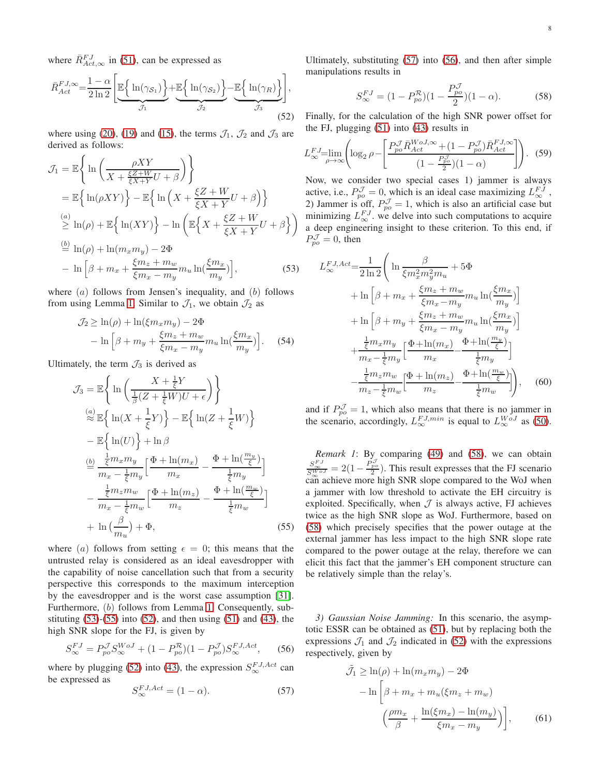where  $\bar{R}_{Act,\infty}^{FJ}$  in [\(51\)](#page-6-6), can be expressed as

$$
\bar{R}_{Act}^{FJ,\infty} = \frac{1-\alpha}{2\ln 2} \left[ \underbrace{\mathbb{E} \left\{ \ln(\gamma_{S_1}) \right\}}_{\mathcal{J}_1} + \underbrace{\mathbb{E} \left\{ \ln(\gamma_{S_2}) \right\}}_{\mathcal{J}_2} - \underbrace{\mathbb{E} \left\{ \ln(\gamma_R) \right\}}_{\mathcal{J}_3} \right],
$$
\n(52)

where using [\(20\)](#page-4-11), [\(19\)](#page-4-8) and [\(15\)](#page-4-10), the terms  $\mathcal{J}_1$ ,  $\mathcal{J}_2$  and  $\mathcal{J}_3$  are derived as follows:

<span id="page-7-0"></span>
$$
\mathcal{J}_1 = \mathbb{E}\left\{\ln\left(\frac{\rho XY}{X + \frac{\xi Z + W}{\xi X + Y}U + \beta}\right)\right\}
$$
  
\n
$$
= \mathbb{E}\left\{\ln(\rho XY)\right\} - \mathbb{E}\left\{\ln\left(X + \frac{\xi Z + W}{\xi X + Y}U + \beta\right)\right\}
$$
  
\n
$$
\stackrel{(a)}{\geq} \ln(\rho) + \mathbb{E}\left\{\ln(XY)\right\} - \ln\left(\mathbb{E}\left\{X + \frac{\xi Z + W}{\xi X + Y}U + \beta\right\}\right)
$$
  
\n
$$
\stackrel{(b)}{=} \ln(\rho) + \ln(m_x m_y) - 2\Phi
$$
  
\n
$$
- \ln\left[\beta + m_x + \frac{\xi m_z + m_w}{\xi m_x - m_y}m_u \ln(\frac{\xi m_x}{m_y})\right],
$$
\n(53)

 $\xi m_x - m_y$ where  $(a)$  follows from Jensen's inequality, and  $(b)$  follows from using Lemma [1.](#page-6-0) Similar to  $\mathcal{J}_1$ , we obtain  $\mathcal{J}_2$  as

$$
\mathcal{J}_2 \ge \ln(\rho) + \ln(\xi m_x m_y) - 2\Phi
$$
  
-  $\ln \left[ \beta + m_y + \frac{\xi m_z + m_w}{\xi m_x - m_y} m_u \ln(\frac{\xi m_x}{m_y}) \right].$  (54)

Ultimately, the term  $\mathcal{J}_3$  is derived as

<span id="page-7-1"></span>
$$
\mathcal{J}_3 = \mathbb{E}\left\{\ln\left(\frac{X + \frac{1}{\xi}Y}{\frac{1}{\beta}(Z + \frac{1}{\xi}W)U + \epsilon}\right)\right\}
$$
  
\n
$$
\stackrel{(a)}{\approx} \mathbb{E}\left\{\ln(X + \frac{1}{\xi}Y)\right\} - \mathbb{E}\left\{\ln(Z + \frac{1}{\xi}W)\right\}
$$
  
\n
$$
-\mathbb{E}\left\{\ln(U)\right\} + \ln \beta
$$
  
\n
$$
\stackrel{(b)}{=} \frac{\frac{1}{\xi}m_xm_y}{m_x - \frac{1}{\xi}m_y}\left[\frac{\Phi + \ln(m_x)}{m_x} - \frac{\Phi + \ln(\frac{m_y}{\xi})}{\frac{1}{\xi}m_y}\right]
$$
  
\n
$$
-\frac{\frac{1}{\xi}m_zm_w}{m_x - \frac{1}{\xi}m_w}\left[\frac{\Phi + \ln(m_z)}{m_z} - \frac{\Phi + \ln(\frac{m_w}{\xi})}{\frac{1}{\xi}m_w}\right]
$$
  
\n
$$
+\ln(\frac{\beta}{m_u}) + \Phi,
$$
\n(55)

where (a) follows from setting  $\epsilon = 0$ ; this means that the untrusted relay is considered as an ideal eavesdropper with the capability of noise cancellation such that from a security perspective this corresponds to the maximum interception by the eavesdropper and is the worst case assumption [\[31\]](#page-13-27). Furthermore, (b) follows from Lemma [1.](#page-6-0) Consequently, substituting  $(53)-(55)$  $(53)-(55)$  into  $(52)$ , and then using  $(51)$  and  $(43)$ , the high SNR slope for the FJ, is given by

<span id="page-7-4"></span>
$$
S_{\infty}^{FJ} = P_{po}^{\mathcal{J}} S_{\infty}^{WoJ} + (1 - P_{po}^{\mathcal{R}})(1 - P_{po}^{\mathcal{J}}) S_{\infty}^{FJ, Act}, \qquad (56)
$$

where by plugging [\(52\)](#page-7-2) into [\(43\)](#page-6-5), the expression  $S^{FJ, Act}_{\infty}$  can be expressed as

<span id="page-7-3"></span>
$$
S_{\infty}^{FJ,Act} = (1 - \alpha). \tag{57}
$$

Ultimately, substituting [\(57\)](#page-7-3) into [\(56\)](#page-7-4), and then after simple manipulations results in

<span id="page-7-5"></span>
$$
S_{\infty}^{FJ} = (1 - P_{po}^{\mathcal{R}})(1 - \frac{P_{po}^{\mathcal{J}}}{2})(1 - \alpha). \tag{58}
$$

<span id="page-7-2"></span>Finally, for the calculation of the high SNR power offset for the FJ, plugging [\(51\)](#page-6-6) into [\(43\)](#page-6-5) results in

$$
L_{\infty}^{FJ} = \lim_{\rho \to \infty} \left( \log_2 \rho - \left[ \frac{P_{po}^{\mathcal{J}} \bar{R}_{Act}^{WoJ,\infty} + (1 - P_{po}^{\mathcal{J}}) \bar{R}_{Act}^{FJ,\infty}}{(1 - \frac{P_{po}^{\mathcal{J}}}{2})(1 - \alpha)} \right] \right). \tag{59}
$$

Now, we consider two special cases 1) jammer is always active, i.e.,  $P_{po}^{\mathcal{J}} = 0$ , which is an ideal case maximizing  $L_{\infty}^{FJ}$ , 2) Jammer is off,  $P_{po}^{\mathcal{J}} = 1$ , which is also an artificial case but minimizing  $L_{\infty}^{FJ}$ , we delve into such computations to acquire a deep engineering insight to these criterion. To this end, if  $P_{po}^{\mathcal{J}}=0$ , then

$$
L_{\infty}^{FJ,Act} = \frac{1}{2\ln 2} \left( \ln \frac{\beta}{\xi m_x^2 m_y^2 m_u} + 5\Phi \right. \n+ \ln \left[ \beta + m_x + \frac{\xi m_z + m_w}{\xi m_x - m_y} m_u \ln(\frac{\xi m_x}{m_y}) \right] \n+ \ln \left[ \beta + m_y + \frac{\xi m_z + m_w}{\xi m_x - m_y} m_u \ln(\frac{\xi m_x}{m_y}) \right] \n+ \frac{\frac{1}{\xi} m_x m_y}{m_x - \frac{1}{\xi} m_y} \left[ \frac{\Phi + \ln(m_x)}{m_x} - \frac{\Phi + \ln(\frac{m_y}{\xi})}{\frac{1}{\xi} m_y} \right] \n- \frac{\frac{1}{\xi} m_z m_w}{m_z - \frac{1}{\xi} m_w} \left[ \frac{\Phi + \ln(m_z)}{m_z} - \frac{\Phi + \ln(\frac{m_w}{\xi})}{\frac{1}{\xi} m_w} \right], \quad (60)
$$

and if  $P_{po}^{\mathcal{J}} = 1$ , which also means that there is no jammer in the scenario, accordingly,  $L_{\infty}^{FJ,min}$  is equal to  $L_{\infty}^{WoJ}$  as [\(50\)](#page-6-7).

*Remark 1*: By comparing [\(49\)](#page-6-8) and [\(58\)](#page-7-5), we can obtain  $\frac{S_N^{EJ}}{S_N^{W\sigma J}} = 2(1-\frac{P_{\nu\sigma}^2}{2})$ . This result expresses that the FJ scenario can achieve more high SNR slope compared to the WoJ when a jammer with low threshold to activate the EH circuitry is exploited. Specifically, when  $\mathcal I$  is always active, FJ achieves twice as the high SNR slope as WoJ. Furthermore, based on [\(58\)](#page-7-5) which precisely specifies that the power outage at the external jammer has less impact to the high SNR slope rate compared to the power outage at the relay, therefore we can elicit this fact that the jammer's EH component structure can be relatively simple than the relay's.

*3) Gaussian Noise Jamming:* In this scenario, the asymptotic ESSR can be obtained as [\(51\)](#page-6-6), but by replacing both the expressions  $\mathcal{J}_1$  and  $\mathcal{J}_2$  indicated in [\(52\)](#page-7-2) with the expressions respectively, given by

$$
\tilde{\mathcal{J}}_1 \ge \ln(\rho) + \ln(m_x m_y) - 2\Phi
$$

$$
-\ln\left[\beta + m_x + m_u(\xi m_z + m_w)\right]
$$

$$
\left(\frac{\rho m_x}{\beta} + \frac{\ln(\xi m_x) - \ln(m_y)}{\xi m_x - m_y}\right)\right], \qquad (61)
$$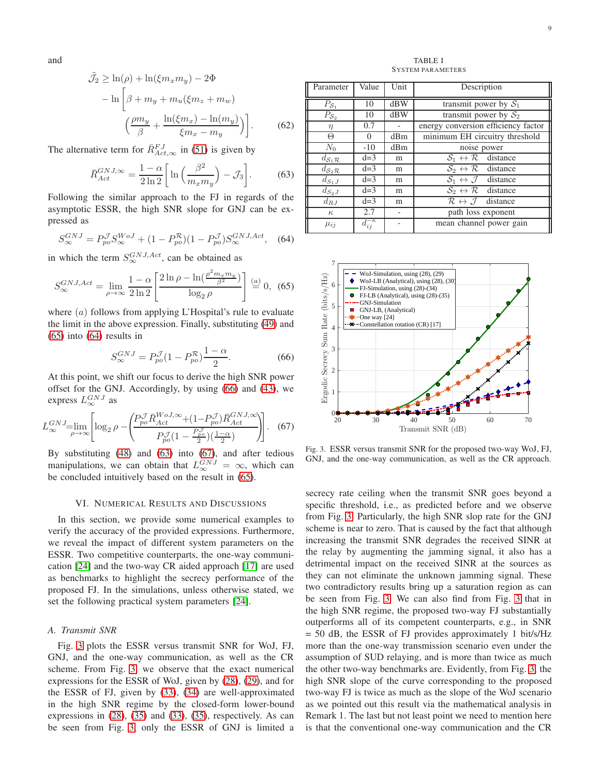and

$$
\tilde{\mathcal{J}}_2 \ge \ln(\rho) + \ln(\xi m_x m_y) - 2\Phi
$$

$$
-\ln\left[\beta + m_y + m_u(\xi m_z + m_w)\right]
$$

$$
\left(\frac{\rho m_y}{\beta} + \frac{\ln(\xi m_x) - \ln(m_y)}{\xi m_x - m_y}\right)\right].
$$
(62)

The alternative term for  $\bar{R}_{Act,\infty}^{FJ}$  in [\(51\)](#page-6-6) is given by

<span id="page-8-3"></span>
$$
\bar{R}_{Act}^{GNJ,\infty} = \frac{1-\alpha}{2\ln 2} \left[ \ln \left( \frac{\beta^2}{m_x m_y} \right) - \mathcal{J}_3 \right]. \tag{63}
$$

Following the similar approach to the FJ in regards of the asymptotic ESSR, the high SNR slope for GNJ can be expressed as

<span id="page-8-1"></span>
$$
S_{\infty}^{GNJ} = P_{po}^{\mathcal{J}} S_{\infty}^{WoJ} + (1 - P_{po}^{\mathcal{R}})(1 - P_{po}^{\mathcal{J}}) S_{\infty}^{GNJ,Act}, \quad (64)
$$

in which the term  $S_{\infty}^{GNJ,Act}$ , can be obtained as

$$
S_{\infty}^{GNJ,Act} = \lim_{\rho \to \infty} \frac{1 - \alpha}{2 \ln 2} \left[ \frac{2 \ln \rho - \ln(\frac{\rho^2 m_x m_y}{\beta^2})}{\log_2 \rho} \right] \stackrel{(a)}{=} 0, \tag{65}
$$

where  $(a)$  follows from applying L'Hospital's rule to evaluate the limit in the above expression. Finally, substituting [\(49\)](#page-6-8) and [\(65\)](#page-8-0) into [\(64\)](#page-8-1) results in

<span id="page-8-2"></span>
$$
S_{\infty}^{GNJ} = P_{po}^{\mathcal{J}} (1 - P_{po}^{\mathcal{R}}) \frac{1 - \alpha}{2}.
$$
 (66)

At this point, we shift our focus to derive the high SNR power offset for the GNJ. Accordingly, by using [\(66\)](#page-8-2) and [\(43\)](#page-6-5), we express  $L_{\infty}^{GNJ}$  as

$$
L_{\infty}^{GNJ} = \lim_{\rho \to \infty} \left[ \log_2 \rho - \left( \frac{P_{po}^{\mathcal{J}} \bar{R}_{Act}^{Woj, \infty} + (1 - P_{po}^{\mathcal{J}}) \bar{R}_{Act}^{GNJ, \infty}}{P_{po}^{\mathcal{J}} (1 - \frac{P_{po}^{\mathcal{J}}}{2}) (1 - \frac{1 - \alpha}{2})} \right) \right].
$$
 (67)

By substituting [\(48\)](#page-6-4) and [\(63\)](#page-8-3) into [\(67\)](#page-8-4), and after tedious manipulations, we can obtain that  $L_{\infty}^{GNJ} = \infty$ , which can be concluded intuitively based on the result in [\(65\)](#page-8-0).

#### VI. NUMERICAL RESULTS AND DISCUSSIONS

In this section, we provide some numerical examples to verify the accuracy of the provided expressions. Furthermore, we reveal the impact of different system parameters on the ESSR. Two competitive counterparts, the one-way communication [\[24\]](#page-13-20) and the two-way CR aided approach [\[17\]](#page-13-11) are used as benchmarks to highlight the secrecy performance of the proposed FJ. In the simulations, unless otherwise stated, we set the following practical system parameters [\[24\]](#page-13-20).

## *A. Transmit SNR*

Fig. [3](#page-8-5) plots the ESSR versus transmit SNR for WoJ, FJ, GNJ, and the one-way communication, as well as the CR scheme. From Fig. [3,](#page-8-5) we observe that the exact numerical expressions for the ESSR of WoJ, given by [\(28\)](#page-5-10), [\(29\)](#page-5-4), and for the ESSR of FJ, given by [\(33\)](#page-5-11), [\(34\)](#page-5-5) are well-approximated in the high SNR regime by the closed-form lower-bound expressions in [\(28\)](#page-5-10), [\(35\)](#page-5-7) and [\(33\)](#page-5-11), [\(35\)](#page-5-7), respectively. As can be seen from Fig. [3,](#page-8-5) only the ESSR of GNJ is limited a

TABLE I SYSTEM PARAMETERS

| Parameter                      | Value              | Unit                     | Description                                        |
|--------------------------------|--------------------|--------------------------|----------------------------------------------------|
| $P_{\mathcal{S}_1}$            | 10                 | dBW                      | transmit power by $S_1$                            |
| $P_{\mathcal{S}_2}$            | 10                 | dBW                      | transmit power by $S_2$                            |
| $\eta$                         | 0.7                |                          | energy conversion efficiency factor                |
| $\Theta$                       | $\theta$           | dBm                      | minimum EH circuitry threshold                     |
| $\overline{N}_0$               | $-10$              | dBm                      | noise power                                        |
| $d_{\mathcal{S}_1\mathcal{R}}$ | $d=3$              | m                        | $S_1 \leftrightarrow \mathcal{R}$ distance         |
| $d_{\mathcal{S}_2\mathcal{R}}$ | $d=3$              | m                        | $S_2 \leftrightarrow \mathcal{R}$ distance         |
| $d_{S_1J}$                     | $d=3$              | m                        | $S_1 \leftrightarrow \mathcal{J}$ distance         |
| $d_{S_2J}$                     | $d=3$              | m                        | $S_2 \leftrightarrow \mathcal{R}$ distance         |
| $d_{RJ}$                       | $d=3$              | m                        | $\mathcal{R} \leftrightarrow \mathcal{I}$ distance |
| $\kappa$                       | 2.7                | $\overline{\phantom{a}}$ | path loss exponent                                 |
| $\mu_{ij}$                     | $d_{ij}^{-\kappa}$ |                          | mean channel power gain                            |

<span id="page-8-0"></span>

<span id="page-8-5"></span><span id="page-8-4"></span>Fig. 3. ESSR versus transmit SNR for the proposed two-way WoJ, FJ, GNJ, and the one-way communication, as well as the CR approach.

secrecy rate ceiling when the transmit SNR goes beyond a specific threshold, i.e., as predicted before and we observe from Fig. [3.](#page-8-5) Particularly, the high SNR slop rate for the GNJ scheme is near to zero. That is caused by the fact that although increasing the transmit SNR degrades the received SINR at the relay by augmenting the jamming signal, it also has a detrimental impact on the received SINR at the sources as they can not eliminate the unknown jamming signal. These two contradictory results bring up a saturation region as can be seen from Fig. [3.](#page-8-5) We can also find from Fig. [3](#page-8-5) that in the high SNR regime, the proposed two-way FJ substantially outperforms all of its competent counterparts, e.g., in SNR = 50 dB, the ESSR of FJ provides approximately 1 bit/s/Hz more than the one-way transmission scenario even under the assumption of SUD relaying, and is more than twice as much the other two-way benchmarks are. Evidently, from Fig. [3,](#page-8-5) the high SNR slope of the curve corresponding to the proposed two-way FJ is twice as much as the slope of the WoJ scenario as we pointed out this result via the mathematical analysis in Remark 1. The last but not least point we need to mention here is that the conventional one-way communication and the CR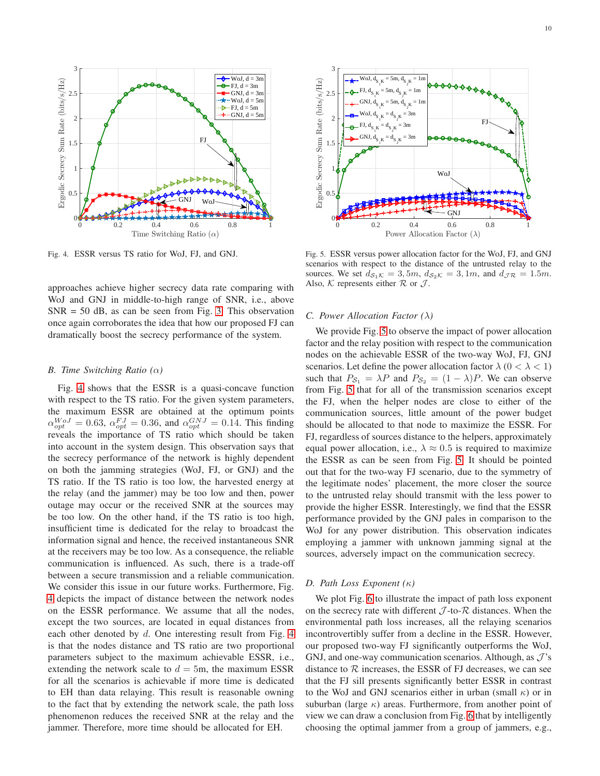

<span id="page-9-0"></span>Fig. 4. ESSR versus TS ratio for WoJ, FJ, and GNJ.

approaches achieve higher secrecy data rate comparing with WoJ and GNJ in middle-to-high range of SNR, i.e., above  $SNR = 50$  dB, as can be seen from Fig. [3.](#page-8-5) This observation once again corroborates the idea that how our proposed FJ can dramatically boost the secrecy performance of the system.

# *B. Time Switching Ratio (*α*)*

Fig. [4](#page-9-0) shows that the ESSR is a quasi-concave function with respect to the TS ratio. For the given system parameters, the maximum ESSR are obtained at the optimum points  $\alpha_{opt}^{WoJ} = 0.63$ ,  $\alpha_{opt}^{FJ} = 0.36$ , and  $\alpha_{opt}^{GNJ} = 0.14$ . This finding reveals the importance of TS ratio which should be taken into account in the system design. This observation says that the secrecy performance of the network is highly dependent on both the jamming strategies (WoJ, FJ, or GNJ) and the TS ratio. If the TS ratio is too low, the harvested energy at the relay (and the jammer) may be too low and then, power outage may occur or the received SNR at the sources may be too low. On the other hand, if the TS ratio is too high, insufficient time is dedicated for the relay to broadcast the information signal and hence, the received instantaneous SNR at the receivers may be too low. As a consequence, the reliable communication is influenced. As such, there is a trade-off between a secure transmission and a reliable communication. We consider this issue in our future works. Furthermore, Fig. [4](#page-9-0) depicts the impact of distance between the network nodes on the ESSR performance. We assume that all the nodes, except the two sources, are located in equal distances from each other denoted by d. One interesting result from Fig. [4](#page-9-0) is that the nodes distance and TS ratio are two proportional parameters subject to the maximum achievable ESSR, i.e., extending the network scale to  $d = 5$ m, the maximum ESSR for all the scenarios is achievable if more time is dedicated to EH than data relaying. This result is reasonable owning to the fact that by extending the network scale, the path loss phenomenon reduces the received SNR at the relay and the jammer. Therefore, more time should be allocated for EH.



<span id="page-9-1"></span>Fig. 5. ESSR versus power allocation factor for the WoJ, FJ, and GNJ scenarios with respect to the distance of the untrusted relay to the sources. We set  $d_{S_1K} = 3, 5m, d_{S_2K} = 3, 1m,$  and  $d_{\mathcal{TR}} = 1.5m$ . Also,  $K$  represents either  $R$  or  $J$ .

## *C. Power Allocation Factor (*λ*)*

We provide Fig. [5](#page-9-1) to observe the impact of power allocation factor and the relay position with respect to the communication nodes on the achievable ESSR of the two-way WoJ, FJ, GNJ scenarios. Let define the power allocation factor  $\lambda$  ( $0 < \lambda < 1$ ) such that  $P_{S_1} = \lambda P$  and  $P_{S_2} = (1 - \lambda)P$ . We can observe from Fig. [5](#page-9-1) that for all of the transmission scenarios except the FJ, when the helper nodes are close to either of the communication sources, little amount of the power budget should be allocated to that node to maximize the ESSR. For FJ, regardless of sources distance to the helpers, approximately equal power allocation, i.e.,  $\lambda \approx 0.5$  is required to maximize the ESSR as can be seen from Fig. [5.](#page-9-1) It should be pointed out that for the two-way FJ scenario, due to the symmetry of the legitimate nodes' placement, the more closer the source to the untrusted relay should transmit with the less power to provide the higher ESSR. Interestingly, we find that the ESSR performance provided by the GNJ pales in comparison to the WoJ for any power distribution. This observation indicates employing a jammer with unknown jamming signal at the sources, adversely impact on the communication secrecy.

#### *D. Path Loss Exponent (*κ*)*

We plot Fig. [6](#page-10-0) to illustrate the impact of path loss exponent on the secrecy rate with different  $\mathcal{J}$ -to- $\mathcal{R}$  distances. When the environmental path loss increases, all the relaying scenarios incontrovertibly suffer from a decline in the ESSR. However, our proposed two-way FJ significantly outperforms the WoJ, GNJ, and one-way communication scenarios. Although, as  $\mathcal{J}'s$ distance to  $R$  increases, the ESSR of FJ decreases, we can see that the FJ sill presents significantly better ESSR in contrast to the WoJ and GNJ scenarios either in urban (small  $\kappa$ ) or in suburban (large  $\kappa$ ) areas. Furthermore, from another point of view we can draw a conclusion from Fig. [6](#page-10-0) that by intelligently choosing the optimal jammer from a group of jammers, e.g.,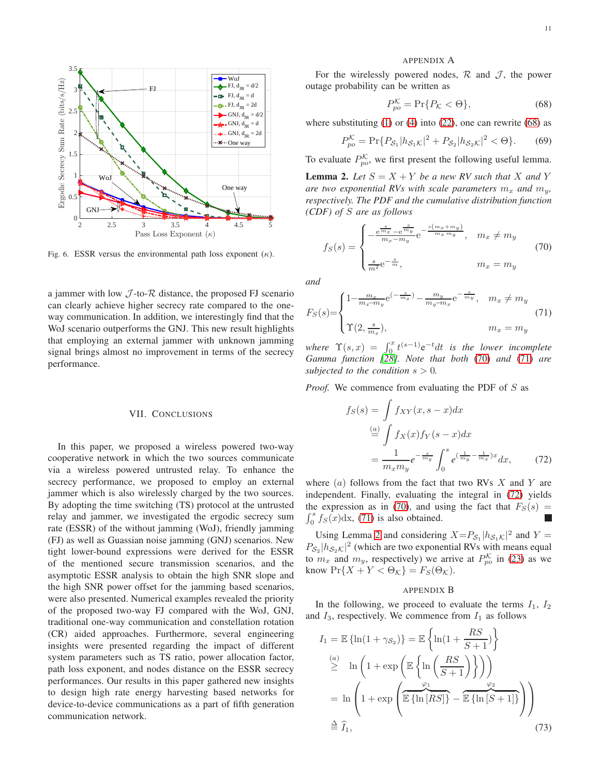

<span id="page-10-0"></span>Fig. 6. ESSR versus the environmental path loss exponent  $(\kappa)$ .

a jammer with low  $\mathcal{J}$ -to- $\mathcal{R}$  distance, the proposed FJ scenario can clearly achieve higher secrecy rate compared to the oneway communication. In addition, we interestingly find that the WoJ scenario outperforms the GNJ. This new result highlights that employing an external jammer with unknown jamming signal brings almost no improvement in terms of the secrecy performance.

## VII. CONCLUSIONS

In this paper, we proposed a wireless powered two-way cooperative network in which the two sources communicate via a wireless powered untrusted relay. To enhance the secrecy performance, we proposed to employ an external jammer which is also wirelessly charged by the two sources. By adopting the time switching (TS) protocol at the untrusted relay and jammer, we investigated the ergodic secrecy sum rate (ESSR) of the without jamming (WoJ), friendly jamming (FJ) as well as Guassian noise jamming (GNJ) scenarios. New tight lower-bound expressions were derived for the ESSR of the mentioned secure transmission scenarios, and the asymptotic ESSR analysis to obtain the high SNR slope and the high SNR power offset for the jamming based scenarios, were also presented. Numerical examples revealed the priority of the proposed two-way FJ compared with the WoJ, GNJ, traditional one-way communication and constellation rotation (CR) aided approaches. Furthermore, several engineering insights were presented regarding the impact of different system parameters such as TS ratio, power allocation factor, path loss exponent, and nodes distance on the ESSR secrecy performances. Our results in this paper gathered new insights to design high rate energy harvesting based networks for device-to-device communications as a part of fifth generation communication network.

## APPENDIX A

For the wirelessly powered nodes,  $R$  and  $J$ , the power outage probability can be written as

<span id="page-10-1"></span>
$$
P_{po}^{\mathcal{K}} = \Pr\{P_{\mathcal{K}} < \Theta\},\tag{68}
$$

where substituting  $(1)$  or  $(4)$  into  $(22)$ , one can rewrite  $(68)$  as

$$
P_{po}^{\mathcal{K}} = \Pr\{P_{\mathcal{S}_1}|h_{\mathcal{S}_1\mathcal{K}}|^2 + P_{\mathcal{S}_2}|h_{\mathcal{S}_2\mathcal{K}}|^2 < \Theta\}.\tag{69}
$$

To evaluate  $P_{po}^{\mathcal{K}}$ , we first present the following useful lemma.

<span id="page-10-5"></span>**Lemma 2.** Let  $S = X + Y$  be a new RV such that X and Y *are two exponential RVs with scale parameters*  $m_x$  *and*  $m_y$ , *respectively. The PDF and the cumulative distribution function (CDF) of* S *are as follows*

<span id="page-10-2"></span>
$$
f_S(s) = \begin{cases} -\frac{e^{\frac{s}{m_x}} - e^{\frac{s}{m_y}}}{m_x - m_y} e^{-\frac{s(m_x + m_y)}{m_x m_y}}, & m_x \neq m_y \\ \frac{s}{m^2} e^{-\frac{s}{m}}, & m_x = m_y \end{cases}
$$
(70)

*and*

$$
F_S(s) = \begin{cases} 1 - \frac{m_x}{m_x - m_y} e^{(-\frac{s}{m_x})} - \frac{m_y}{m_y - m_x} e^{-\frac{s}{m_y}}, & m_x \neq m_y \\ \gamma(2, \frac{s}{m_x}), & m_x = m_y \end{cases}
$$
(71)

where  $\Upsilon(s, x) = \int_0^x t^{(s-1)} e^{-t} dt$  *is the lower incomplete Gamma function [\[28\]](#page-13-24). Note that both* [\(70\)](#page-10-2) *and* [\(71\)](#page-10-3) *are subjected to the condition*  $s > 0$ *.* 

*Proof.* We commence from evaluating the PDF of S as

<span id="page-10-4"></span><span id="page-10-3"></span>
$$
f_S(s) = \int f_{XY}(x, s - x) dx
$$
  

$$
\stackrel{(a)}{=} \int f_X(x) f_Y(s - x) dx
$$
  

$$
= \frac{1}{m_x m_y} e^{-\frac{s}{m_y}} \int_0^s e^{(\frac{1}{m_y} - \frac{1}{m_x})x} dx,
$$
 (72)

where  $(a)$  follows from the fact that two RVs X and Y are independent. Finally, evaluating the integral in [\(72\)](#page-10-4) yields the expression as in [\(70\)](#page-10-2), and using the fact that  $F_S(s)$  =  $\int_0^s f_S(x) dx$ , [\(71\)](#page-10-3) is also obtained.

Using Lemma [2](#page-10-5) and considering  $X = P_{S_1} |h_{S_1} \kappa|^2$  and  $Y =$  $P_{\mathcal{S}_2}$  | $h_{\mathcal{S}_2}$  | $\chi$ |<sup>2</sup> (which are two exponential RVs with means equal to  $m_x$  and  $m_y$ , respectively) we arrive at  $P_{po}^{K}$  in [\(23\)](#page-4-13) as we know  $Pr{X + Y < \Theta_{\mathcal{K}}} = F_S(\Theta_{\mathcal{K}})$ .

#### APPENDIX B

In the following, we proceed to evaluate the terms  $I_1$ ,  $I_2$ and  $I_3$ , respectively. We commence from  $I_1$  as follows

<span id="page-10-6"></span>
$$
I_1 = \mathbb{E} \{ \ln(1 + \gamma_{S_2}) \} = \mathbb{E} \left\{ \ln(1 + \frac{RS}{S+1}) \right\}
$$
  
\n
$$
\stackrel{(a)}{\geq} \ln \left( 1 + \exp \left( \mathbb{E} \left\{ \ln \left( \frac{RS}{S+1} \right) \right\} \right) \right)
$$
  
\n
$$
= \ln \left( 1 + \exp \left( \frac{\varphi_1}{\mathbb{E} \{ \ln [RS] \}} - \mathbb{E} \{ \ln [S+1] \} \right) \right)
$$
  
\n
$$
\stackrel{\triangle}{=} \widehat{I}_1, \tag{73}
$$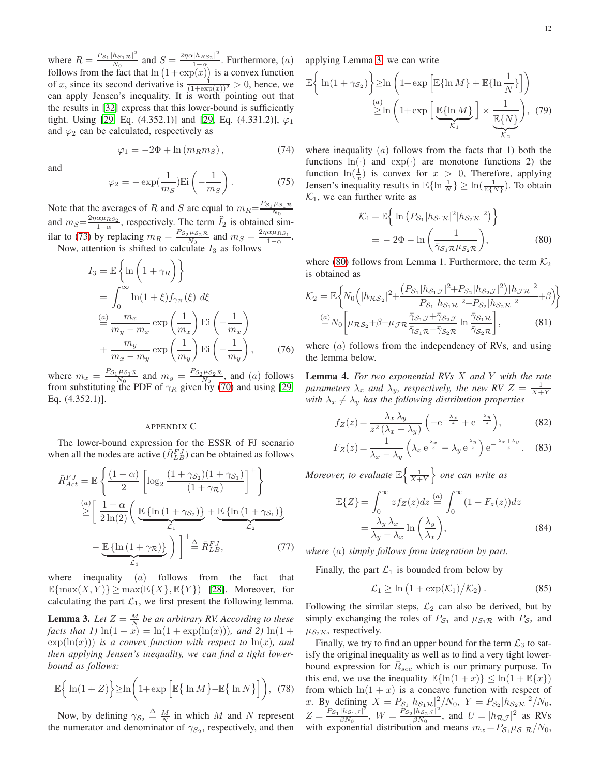where  $R = \frac{P_{\mathcal{S}_1} |h_{\mathcal{S}_1 \mathcal{R}}|^2}{N_0}$  $\frac{h_{S_1} \pi|^2}{N_0}$  and  $S = \frac{2\eta \alpha |h_{RS_2}|^2}{1-\alpha}$  $\frac{1-\alpha}{1-\alpha}$ . Furthermore,  $(a)$ follows from the fact that  $\ln (1 + \exp(x))$  is a convex function of x, since its second derivative is  $\frac{1}{(1+\exp(x))^2} > 0$ , hence, we can apply Jensen's inequality. It is worth pointing out that the results in [\[32\]](#page-13-28) express that this lower-bound is sufficiently tight. Using [\[29,](#page-13-25) Eq. (4.352.1)] and [\[29,](#page-13-25) Eq. (4.331.2)],  $\varphi_1$ and  $\varphi_2$  can be calculated, respectively as

$$
\varphi_1 = -2\Phi + \ln(m_R m_S),\tag{74}
$$

and

$$
\varphi_2 = -\exp(\frac{1}{m_S}) \text{Ei}\left(-\frac{1}{m_S}\right). \tag{75}
$$

Note that the averages of R and S are equal to  $m_R = \frac{P_{S_1} \mu_{S_1} R}{N_0}$  $N_0$ and  $m_S = \frac{2\eta \alpha \mu_{RS_2}}{1-\alpha}$  $\frac{\alpha \mu_{RS_2}}{1-\alpha}$ , respectively. The term  $I_2$  is obtained sim-ilar to [\(73\)](#page-10-6) by replacing  $m_R = \frac{P_{S_2} \mu_{S_2} \pi}{N_0}$  and  $m_S = \frac{2\eta \alpha \mu_{RS_1}}{1-\alpha}$  $\frac{\alpha\mu_{RS_1}}{1-\alpha}$ .

Now, attention is shifted to calculate  $I_3$  as follows

$$
I_3 = \mathbb{E}\left\{\ln\left(1+\gamma_R\right)\right\}
$$
  
=  $\int_0^\infty \ln(1+\xi)f_{\gamma_R}(\xi) d\xi$   
 $\stackrel{(a)}{=} \frac{m_x}{m_y - m_x} \exp\left(\frac{1}{m_x}\right) \mathrm{Ei}\left(-\frac{1}{m_x}\right)$   
+  $\frac{m_y}{m_x - m_y} \exp\left(\frac{1}{m_y}\right) \mathrm{Ei}\left(-\frac{1}{m_y}\right),$  (76)

where  $m_x = \frac{P_{S_1} \mu_{S_1 \mathcal{R}}}{N_0}$  and  $m_y = \frac{P_{S_2} \mu_{S_2 \mathcal{R}}}{N_0}$ , and (a) follows from substituting the PDF of  $\gamma_R$  given by [\(70\)](#page-10-2) and using [\[29,](#page-13-25) Eq. (4.352.1)].

#### APPENDIX C

The lower-bound expression for the ESSR of FJ scenario when all the nodes are active  $(\bar{R}_{LB}^{FJ})$  can be obtained as follows

$$
\bar{R}_{Act}^{FJ} = \mathbb{E}\left\{\frac{(1-\alpha)}{2}\left[\log_2\frac{(1+\gamma_{S_2})(1+\gamma_{S_1})}{(1+\gamma_{\mathcal{R}})}\right]^+\right\}
$$
\n
$$
\geq \left[\frac{1-\alpha}{2\ln(2)}\left(\underbrace{\mathbb{E}\left\{\ln\left(1+\gamma_{S_2}\right)\right\}}_{\mathcal{L}_1} + \underbrace{\mathbb{E}\left\{\ln\left(1+\gamma_{S_1}\right)\right\}}_{\mathcal{L}_2}\right]
$$
\n
$$
-\underbrace{\mathbb{E}\left\{\ln\left(1+\gamma_{\mathcal{R}}\right)\right\}}_{\mathcal{L}_3}\right)^+\overset{\Delta}{=} \bar{R}_{LB}^{FJ},\tag{77}
$$

where inequality  $(a)$  follows from the fact that  $\mathbb{E}\{\max(X, Y)\}\geq \max(\mathbb{E}\{X\}, \mathbb{E}\{Y\})$  [\[28\]](#page-13-24). Moreover, for calculating the part  $\mathcal{L}_1$ , we first present the following lemma.

<span id="page-11-0"></span>**Lemma 3.** Let  $Z = \frac{M}{N}$  be an arbitrary RV. According to these *facts that 1*)  $ln(1 + x) = ln(1 + exp(ln(x)))$ *, and 2*)  $ln(1 +$  $\exp(\ln(x))$  *is a convex function with respect to*  $\ln(x)$ *, and then applying Jensen's inequality, we can find a tight lowerbound as follows:*

$$
\mathbb{E}\Big\{\ln(1+Z)\Big\}\geq\ln\bigg(1+\exp\Big[\mathbb{E}\big\{\ln M\big\}-\mathbb{E}\big\{\ln N\big\}\Big]\bigg),\tag{78}
$$

Now, by defining  $\gamma_{\mathcal{S}_2} \triangleq \frac{M}{N}$  in which M and N represent the numerator and denominator of  $\gamma_{S_2}$ , respectively, and then applying Lemma [3,](#page-11-0) we can write

$$
\mathbb{E}\left\{\ln(1+\gamma_{\mathcal{S}_2})\right\} \geq \ln\left(1+\exp\left[\mathbb{E}\{\ln M\}+\mathbb{E}\{\ln\frac{1}{N}\}\right]\right)
$$

$$
\geq \ln\left(1+\exp\left[\frac{\mathbb{E}\{\ln M\}}{\kappa_1}\right]\times\frac{1}{\mathbb{E}\{N\}}\right), (79)
$$

where inequality  $(a)$  follows from the facts that 1) both the functions  $ln(·)$  and  $exp(·)$  are monotone functions 2) the function  $\ln(\frac{1}{x})$  is convex for  $x > 0$ , Therefore, applying Jensen's inequality results in  $\mathbb{E}\{\ln \frac{1}{N}\} \ge \ln(\frac{1}{\mathbb{E}\{N\}})$ . To obtain  $K_1$ , we can further write as

<span id="page-11-1"></span>
$$
\mathcal{K}_1 = \mathbb{E}\left\{\ln\left(P_{\mathcal{S}_1}|h_{\mathcal{S}_1\mathcal{R}}|^2|h_{\mathcal{S}_2\mathcal{R}}|^2\right)\right\}
$$
  
= 
$$
-2\Phi - \ln\left(\frac{1}{\bar{\gamma}_{\mathcal{S}_1\mathcal{R}}\mu_{\mathcal{S}_2\mathcal{R}}}\right),
$$
(80)

where [\(80\)](#page-11-1) follows from Lemma 1. Furthermore, the term  $\mathcal{K}_2$ is obtained as

$$
\mathcal{K}_2 = \mathbb{E}\bigg\{ N_0 \Big( |h_{\mathcal{RS}_2}|^2 + \frac{(P_{\mathcal{S}_1}|h_{\mathcal{S}_1\mathcal{J}}|^2 + P_{\mathcal{S}_2}|h_{\mathcal{S}_2\mathcal{J}}|^2) |h_{\mathcal{J}\mathcal{R}}|^2}{P_{\mathcal{S}_1}|h_{\mathcal{S}_1\mathcal{R}}|^2 + P_{\mathcal{S}_2}|h_{\mathcal{S}_2\mathcal{R}}|^2} + \beta \Big) \bigg\}
$$
  
\n
$$
\stackrel{(a)}{=} N_0 \Bigg[ \mu_{\mathcal{RS}_2} + \beta + \mu_{\mathcal{J}\mathcal{R}} \frac{\bar{\gamma}_{\mathcal{S}_1\mathcal{J}} + \bar{\gamma}_{\mathcal{S}_2\mathcal{J}}}{\bar{\gamma}_{\mathcal{S}_1\mathcal{R}} - \bar{\gamma}_{\mathcal{S}_2\mathcal{R}}} \ln \frac{\bar{\gamma}_{\mathcal{S}_1\mathcal{R}}}{\bar{\gamma}_{\mathcal{S}_2\mathcal{R}}}\Bigg],
$$
\n(81)

where  $(a)$  follows from the independency of RVs, and using the lemma below.

Lemma 4. *For two exponential RVs* X *and* Y *with the rate* parameters  $\lambda_x$  and  $\lambda_y$ , respectively, the new RV  $Z = \frac{1}{X+Y}$ *with*  $\lambda_x \neq \lambda_y$  *has the following distribution properties* 

$$
f_Z(z) = \frac{\lambda_x \lambda_y}{z^2 (\lambda_x - \lambda_y)} \left( -e^{-\frac{\lambda_x}{z}} + e^{-\frac{\lambda_y}{z}} \right),\tag{82}
$$

$$
F_Z(z) = \frac{1}{\lambda_x - \lambda_y} \left( \lambda_x e^{\frac{\lambda_x}{z}} - \lambda_y e^{\frac{\lambda_y}{z}} \right) e^{-\frac{\lambda_x + \lambda_y}{z}}.
$$
 (83)

*Moreover, to evaluate*  $\mathbb{E}\left\{\frac{1}{X+Y}\right\}$ o *one can write as*

$$
\mathbb{E}\{Z\} = \int_0^\infty z f_Z(z) dz \stackrel{(a)}{=} \int_0^\infty (1 - F_z(z)) dz
$$

$$
= \frac{\lambda_y \lambda_x}{\lambda_y - \lambda_x} \ln\left(\frac{\lambda_y}{\lambda_x}\right), \tag{84}
$$

*where* (a) *simply follows from integration by part.*

Finally, the part  $\mathcal{L}_1$  is bounded from below by

$$
\mathcal{L}_1 \geq \ln\left(1 + \exp(\mathcal{K}_1)/\mathcal{K}_2\right). \tag{85}
$$

Following the similar steps,  $\mathcal{L}_2$  can also be derived, but by simply exchanging the roles of  $P_{S_1}$  and  $\mu_{S_1R}$  with  $P_{S_2}$  and  $\mu_{\mathcal{S}_2\mathcal{R}}$ , respectively.

Finally, we try to find an upper bound for the term  $\mathcal{L}_3$  to satisfy the original inequality as well as to find a very tight lowerbound expression for  $\overline{R}_{sec}$  which is our primary purpose. To this end, we use the inequality  $\mathbb{E}\{\ln(1+x)\} \leq \ln(1+\mathbb{E}\{x\})$ from which  $ln(1 + x)$  is a concave function with respect of x. By defining  $X = P_{S_1} |h_{S_1} \pi|^2/N_0$ ,  $Y = P_{S_2} |h_{S_2} \pi|^2/N_0$ ,  $Z = \frac{P_{\mathcal{S}_1} |h_{\mathcal{S}_1 \mathcal{J}}|^2}{\beta N_0}$  $\frac{|h_{S_1\mathcal{J}}|^2}{\beta N_0}$ ,  $W = \frac{P_{S_2} |h_{S_2\mathcal{J}}|^2}{\beta N_0}$  $\frac{|h_{S_2\mathcal{J}}|^2}{\beta N_0}$ , and  $U = |h_{\mathcal{R}\mathcal{J}}|^2$  as RVs with exponential distribution and means  $m_x = P_{\mathcal{S}_1} \mu_{\mathcal{S}_1 \mathcal{R}}/N_0$ ,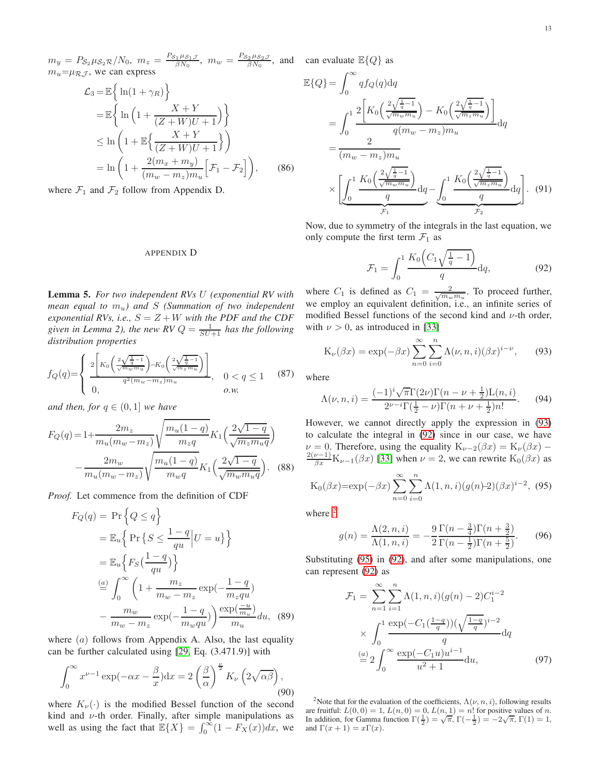$m_y = P_{\mathcal{S}_2} \mu_{\mathcal{S}_2} \mathcal{R}/N_0$ ,  $m_z = \frac{P_{\mathcal{S}_1} \mu_{\mathcal{S}_1 \mathcal{J}}}{\beta N_0}$ ,  $m_w = \frac{P_{\mathcal{S}_2} \mu_{\mathcal{S}_2 \mathcal{J}}}{\beta N_0}$ , and  $m_u = \mu_{\mathcal{R}\mathcal{J}}$ , we can express

$$
\mathcal{L}_3 = \mathbb{E}\left\{\ln(1+\gamma_R)\right\}
$$
  
=  $\mathbb{E}\left\{\ln\left(1+\frac{X+Y}{(Z+W)U+1}\right)\right\}$   
 $\leq \ln\left(1+\mathbb{E}\left\{\frac{X+Y}{(Z+W)U+1}\right\}\right)$   
=  $\ln\left(1+\frac{2(m_x+m_y)}{(m_w-m_z)m_u}\left[\mathcal{F}_1-\mathcal{F}_2\right]\right),$  (86)

where  $\mathcal{F}_1$  and  $\mathcal{F}_2$  follow from Appendix D.

#### APPENDIX D

Lemma 5. *For two independent RVs* U *(exponential RV with mean equal to* mu*) and* S *(Summation of two independent exponential RVs, i.e.,*  $S = Z + W$  *with the PDF and the CDF* given in Lemma 2), the new RV  $Q = \frac{1}{SU+1}$  has the following *distribution properties*

$$
f_Q(q) = \begin{cases} 2 \left[ K_0 \left( \frac{2\sqrt{\frac{1}{q}-1}}{\sqrt{m_w m_u}} \right) - K_0 \left( \frac{2\sqrt{\frac{1}{q}-1}}{\sqrt{m_z m_u}} \right) \right] & 0 < q \le 1 \\ 0, & o.w. \end{cases}
$$
 (87)

*and then, for*  $q \in (0,1]$  *we have* 

$$
F_Q(q) = 1 + \frac{2m_z}{m_u(m_w - m_z)} \sqrt{\frac{m_u(1-q)}{m_z q}} K_1 \left(\frac{2\sqrt{1-q}}{\sqrt{m_z m_u q}}\right) - \frac{2m_w}{m_u(m_w - m_z)} \sqrt{\frac{m_u(1-q)}{m_w q}} K_1 \left(\frac{2\sqrt{1-q}}{\sqrt{m_w m_u q}}\right). \tag{88}
$$

*Proof.* Let commence from the definition of CDF

$$
F_Q(q) = \Pr \left\{ Q \le q \right\}
$$
  
=  $\mathbb{E}_u \left\{ \Pr \left\{ S \le \frac{1-q}{qu} \middle| U = u \right\} \right\}$   
=  $\mathbb{E}_u \left\{ F_S \left( \frac{1-q}{qu} \right) \right\}$   

$$
\stackrel{\text{(a)}}{=} \int_0^\infty \left( 1 + \frac{m_z}{m_w - m_z} \exp\left( -\frac{1-q}{m_z qu} \right) - \frac{m_w}{m_w - m_z} \exp\left( -\frac{1-q}{m_w qu} \right) \right) \frac{\exp\left( \frac{-u}{m_u} \right)}{m_u} du, \quad (89)
$$

where  $(a)$  follows from Appendix A. Also, the last equality can be further calculated using [\[29,](#page-13-25) Eq. (3.471.9)] with

$$
\int_0^\infty x^{\nu-1} \exp(-\alpha x - \frac{\beta}{x}) dx = 2 \left(\frac{\beta}{\alpha}\right)^{\frac{\nu}{2}} K_\nu \left(2\sqrt{\alpha\beta}\right),\tag{90}
$$

where  $K_{\nu}(\cdot)$  is the modified Bessel function of the second kind and  $\nu$ -th order. Finally, after simple manipulations as well as using the fact that  $\mathbb{E}\{X\} = \int_0^\infty (1 - F_X(x)) dx$ , we

can evaluate  $\mathbb{E}\lbrace Q \rbrace$  as

$$
\mathbb{E}{Q} = \int_0^\infty q f_Q(q) dq
$$
\n
$$
= \int_0^1 \frac{2 \left[ K_0 \left( \frac{2\sqrt{\frac{1}{q}-1}}{\sqrt{m_w m_u}} \right) - K_0 \left( \frac{2\sqrt{\frac{1}{q}-1}}{\sqrt{m_z m_u}} \right) \right]}{q(m_w - m_z) m_u} dq
$$
\n
$$
= \frac{2}{(m_w - m_z) m_u}
$$
\n
$$
\times \left[ \underbrace{\int_0^1 \frac{K_0 \left( \frac{2\sqrt{\frac{1}{q}-1}}{\sqrt{m_w m_u}} \right)}{q} dq - \underbrace{\int_0^1 \frac{K_0 \left( \frac{2\sqrt{\frac{1}{q}-1}}{\sqrt{m_z m_u}} \right)}{q} dq}_{\mathcal{F}_2} \right].
$$
\n(91)

Now, due to symmetry of the integrals in the last equation, we only compute the first term  $\mathcal{F}_1$  as

<span id="page-12-1"></span>
$$
\mathcal{F}_1 = \int_0^1 \frac{K_0 \left( C_1 \sqrt{\frac{1}{q} - 1} \right)}{q} dq, \tag{92}
$$

where  $C_1$  is defined as  $C_1 = \frac{2}{\sqrt{m_w m_u}}$ . To proceed further, we employ an equivalent definition, i.e., an infinite series of modified Bessel functions of the second kind and  $\nu$ -th order, with  $\nu > 0$ , as introduced in [\[33\]](#page-13-29)

<span id="page-12-0"></span>
$$
K_{\nu}(\beta x) = \exp(-\beta x) \sum_{n=0}^{\infty} \sum_{i=0}^{n} \Lambda(\nu, n, i) (\beta x)^{i-\nu}, \qquad (93)
$$

where

$$
\Lambda(\nu, n, i) = \frac{(-1)^i \sqrt{\pi} \Gamma(2\nu) \Gamma(n - \nu + \frac{1}{2}) \mathcal{L}(n, i)}{2^{\nu - i} \Gamma(\frac{1}{2} - \nu) \Gamma(n + \nu + \frac{1}{2}) n!}.
$$
(94)

However, we cannot directly apply the expression in [\(93\)](#page-12-0) to calculate the integral in [\(92\)](#page-12-1) since in our case, we have  $\nu = 0$ . Therefore, using the equality  $K_{\nu-2}(\beta x) = K_{\nu}(\beta x) \frac{2(\nu-1)}{\beta x}K_{\nu-1}(\beta x)$  [\[33\]](#page-13-29) when  $\nu=2$ , we can rewrite  $K_0(\beta x)$  as

<span id="page-12-3"></span>
$$
K_0(\beta x) = \exp(-\beta x) \sum_{n=0}^{\infty} \sum_{i=0}^{n} \Lambda(1, n, i) (g(n)-2) (\beta x)^{i-2},
$$
 (95)

where <sup>[2](#page-12-2)</sup>

$$
g(n) = \frac{\Lambda(2, n, i)}{\Lambda(1, n, i)} = -\frac{9}{2} \frac{\Gamma(n - \frac{3}{4}) \Gamma(n + \frac{3}{2})}{\Gamma(n - \frac{1}{2}) \Gamma(n + \frac{5}{2})}.
$$
 (96)

Substituting [\(95\)](#page-12-3) in [\(92\)](#page-12-1), and after some manipulations, one can represent [\(92\)](#page-12-1) as

$$
\mathcal{F}_1 = \sum_{n=1}^{\infty} \sum_{i=1}^n \Lambda(1, n, i)(g(n) - 2)C_1^{i-2}
$$

$$
\times \int_0^1 \frac{\exp(-C_1(\frac{1-q}{q}))(\sqrt{\frac{1-q}{q}})^{i-2}}{q} dq
$$

$$
\stackrel{(a)}{=} 2 \int_0^\infty \frac{\exp(-C_1u)u^{i-1}}{u^2 + 1} du,
$$
(97)

<span id="page-12-2"></span><sup>2</sup>Note that for the evaluation of the coefficients,  $\Lambda(\nu, n, i)$ , following results are fruitful:  $L(0, 0) = 1$ ,  $L(n, 0) = 0$ ,  $L(n, 1) = n!$  for positive values of *n*.<br>In addition, for Gamma function  $\Gamma(\frac{1}{2}) = \sqrt{\pi}$ ,  $\Gamma(-\frac{1}{2}) = -2\sqrt{\pi}$ ,  $\Gamma(1) = 1$ , and  $\Gamma(x+1) = x\Gamma(x)$ .